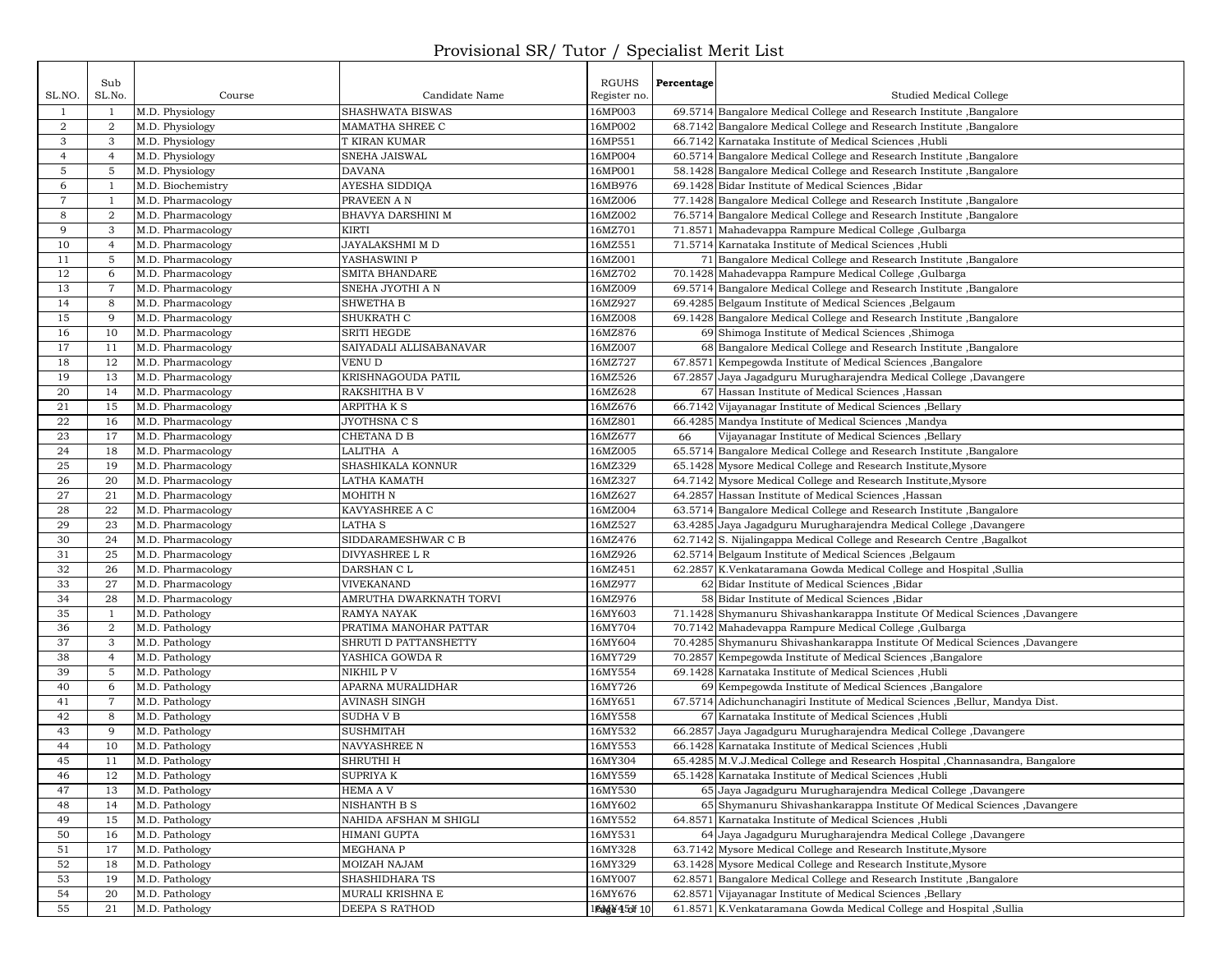## Provisional SR/ Tutor / Specialist Merit List

|                | Sub              |                                        |                          | RGUHS                 | Percentage    |                                                                                                                                          |
|----------------|------------------|----------------------------------------|--------------------------|-----------------------|---------------|------------------------------------------------------------------------------------------------------------------------------------------|
| SL.NO.         | SL.No.           | Course                                 | Candidate Name           | Register no.          |               | Studied Medical College                                                                                                                  |
| $\mathbf{1}$   | 1                | M.D. Physiology                        | SHASHWATA BISWAS         | 16MP003               |               | 69.5714 Bangalore Medical College and Research Institute , Bangalore                                                                     |
| $\overline{a}$ | $\overline{2}$   | M.D. Physiology                        | MAMATHA SHREE C          | 16MP002               |               | 68.7142 Bangalore Medical College and Research Institute, Bangalore                                                                      |
| 3              | 3                | M.D. Physiology                        | T KIRAN KUMAR            | 16MP551               |               | 66.7142 Karnataka Institute of Medical Sciences , Hubli                                                                                  |
| $\overline{4}$ | $\overline{4}$   | M.D. Physiology                        | SNEHA JAISWAL            | 16MP004               |               | 60.5714 Bangalore Medical College and Research Institute, Bangalore                                                                      |
| 5              | 5                | M.D. Physiology                        | <b>DAVANA</b>            | 16MP001               |               | 58.1428 Bangalore Medical College and Research Institute, Bangalore                                                                      |
| 6              | $\overline{1}$   | M.D. Biochemistry                      | AYESHA SIDDIQA           | 16MB976               |               | 69.1428 Bidar Institute of Medical Sciences , Bidar                                                                                      |
| 7              | -1               | M.D. Pharmacology                      | PRAVEEN A N              | 16MZ006               |               | 77.1428 Bangalore Medical College and Research Institute, Bangalore                                                                      |
| 8              | $\boldsymbol{2}$ | M.D. Pharmacology                      | BHAVYA DARSHINI M        | 16MZ002               |               | 76.5714 Bangalore Medical College and Research Institute, Bangalore                                                                      |
| 9              | 3                | M.D. Pharmacology                      | KIRTI                    | 16MZ701               |               | 71.8571 Mahadevappa Rampure Medical College, Gulbarga                                                                                    |
| 10             | $\overline{4}$   | M.D. Pharmacology                      | JAYALAKSHMI M D          | 16MZ551               |               | 71.5714 Karnataka Institute of Medical Sciences , Hubli                                                                                  |
| 11             | 5                | M.D. Pharmacology                      | YASHASWINI P             | 16MZ001               |               | 71 Bangalore Medical College and Research Institute, Bangalore                                                                           |
| 12             | 6                | M.D. Pharmacology                      | <b>SMITA BHANDARE</b>    | 16MZ702               |               | 70.1428 Mahadevappa Rampure Medical College, Gulbarga                                                                                    |
| 13             | $\overline{7}$   | M.D. Pharmacology                      | SNEHA JYOTHI A N         | 16MZ009               |               | 69.5714 Bangalore Medical College and Research Institute, Bangalore                                                                      |
| 14             | 8                | M.D. Pharmacology                      | SHWETHA B                | 16MZ927               |               | 69.4285 Belgaum Institute of Medical Sciences , Belgaum                                                                                  |
| 15             | 9                | M.D. Pharmacology                      | SHUKRATH C               | 16MZ008               |               | 69.1428 Bangalore Medical College and Research Institute, Bangalore                                                                      |
| 16             | 10               | M.D. Pharmacology                      | <b>SRITI HEGDE</b>       | 16MZ876               |               | 69 Shimoga Institute of Medical Sciences , Shimoga                                                                                       |
| 17             | 11               | M.D. Pharmacology                      | SAIYADALI ALLISABANAVAR  | 16MZ007               |               | 68 Bangalore Medical College and Research Institute, Bangalore                                                                           |
| 18             | 12               | M.D. Pharmacology                      | <b>VENU D</b>            | 16MZ727               |               | 67.8571 Kempegowda Institute of Medical Sciences, Bangalore                                                                              |
| 19             | 13               | M.D. Pharmacology                      | KRISHNAGOUDA PATIL       | 16MZ526               |               | 67.2857 Jaya Jagadguru Murugharajendra Medical College, Davangere                                                                        |
| 20             | 14               | M.D. Pharmacology                      | RAKSHITHA B V            | 16MZ628               |               | 67 Hassan Institute of Medical Sciences , Hassan                                                                                         |
| 21             | 15               | M.D. Pharmacology                      | ARPITHA K S              | 16MZ676               |               | 66.7142 Vijayanagar Institute of Medical Sciences , Bellary                                                                              |
| 22             | 16               | M.D. Pharmacology                      | JYOTHSNA C S             | 16MZ801               |               | 66.4285 Mandya Institute of Medical Sciences , Mandya                                                                                    |
| 23             | 17               | M.D. Pharmacology                      | CHETANA D B              | 16MZ677               | 66            | Vijayanagar Institute of Medical Sciences ,Bellary                                                                                       |
| 24             | 18               | M.D. Pharmacology                      | LALITHA A                | 16MZ005               |               | 65.5714 Bangalore Medical College and Research Institute , Bangalore                                                                     |
| 25             | 19               | M.D. Pharmacology                      | SHASHIKALA KONNUR        | 16MZ329               |               | 65.1428 Mysore Medical College and Research Institute, Mysore                                                                            |
| 26<br>27       | 20<br>21         | M.D. Pharmacology                      | LATHA KAMATH<br>MOHITH N | 16MZ327<br>16MZ627    |               | 64.7142 Mysore Medical College and Research Institute, Mysore<br>64.2857 Hassan Institute of Medical Sciences , Hassan                   |
| 28             | 22               | M.D. Pharmacology<br>M.D. Pharmacology | KAVYASHREE A C           | 16MZ004               |               |                                                                                                                                          |
| 29             | 23               | M.D. Pharmacology                      | LATHA S                  | 16MZ527               |               | 63.5714 Bangalore Medical College and Research Institute, Bangalore<br>63.4285 Jaya Jagadguru Murugharajendra Medical College, Davangere |
| 30             | 24               | M.D. Pharmacology                      | SIDDARAMESHWAR C B       | 16MZ476               |               | 62.7142 S. Nijalingappa Medical College and Research Centre, Bagalkot                                                                    |
| 31             | 25               | M.D. Pharmacology                      | DIVYASHREE L R           | 16MZ926               |               | 62.5714 Belgaum Institute of Medical Sciences , Belgaum                                                                                  |
| 32             | 26               | M.D. Pharmacology                      | DARSHAN C L              | 16MZ451               |               | 62.2857 K.Venkataramana Gowda Medical College and Hospital , Sullia                                                                      |
| 33             | 27               | M.D. Pharmacology                      | VIVEKANAND               | 16MZ977               | <sup>62</sup> | Bidar Institute of Medical Sciences , Bidar                                                                                              |
| 34             | 28               | M.D. Pharmacology                      | AMRUTHA DWARKNATH TORVI  | 16MZ976               |               | 58 Bidar Institute of Medical Sciences , Bidar                                                                                           |
| 35             | 1                | M.D. Pathology                         | <b>RAMYA NAYAK</b>       | 16MY603               |               | 71.1428 Shymanuru Shivashankarappa Institute Of Medical Sciences ,Davangere                                                              |
| 36             | 2                | M.D. Pathology                         | PRATIMA MANOHAR PATTAR   | 16MY704               |               | 70.7142 Mahadevappa Rampure Medical College, Gulbarga                                                                                    |
| 37             | 3                | M.D. Pathology                         | SHRUTI D PATTANSHETTY    | 16MY604               |               | 70.4285 Shymanuru Shivashankarappa Institute Of Medical Sciences ,Davangere                                                              |
| 38             | $\overline{4}$   | M.D. Pathology                         | YASHICA GOWDA R          | 16MY729               |               | 70.2857 Kempegowda Institute of Medical Sciences , Bangalore                                                                             |
| 39             | 5                | M.D. Pathology                         | NIKHIL P V               | 16MY554               |               | 69.1428 Karnataka Institute of Medical Sciences , Hubli                                                                                  |
| 40             | 6                | M.D. Pathology                         | APARNA MURALIDHAR        | 16MY726               |               | 69 Kempegowda Institute of Medical Sciences , Bangalore                                                                                  |
| 41             | $\overline{7}$   | M.D. Pathology                         | AVINASH SINGH            | 16MY651               |               | 67.5714 Adichunchanagiri Institute of Medical Sciences , Bellur, Mandya Dist.                                                            |
| 42             | 8                | M.D. Pathology                         | SUDHA V B                | 16MY558               |               | 67 Karnataka Institute of Medical Sciences , Hubli                                                                                       |
| 43             | 9                | M.D. Pathology                         | <b>SUSHMITAH</b>         | 16MY532               |               | 66.2857 Jaya Jagadguru Murugharajendra Medical College, Davangere                                                                        |
| 44             | 10               | M.D. Pathology                         | <b>NAVYASHREE N</b>      | 16MY553               |               | 66.1428 Karnataka Institute of Medical Sciences , Hubli                                                                                  |
| 45             | 11               | M.D. Pathology                         | SHRUTHI H                | 16MY304               |               | 65.4285 M.V.J.Medical College and Research Hospital , Channasandra, Bangalore                                                            |
| 46             | 12               | M.D. Pathology                         | <b>SUPRIYAK</b>          | 16MY559               |               | 65.1428 Karnataka Institute of Medical Sciences ,Hubli                                                                                   |
| 47             | 13               | M.D. Pathology                         | <b>HEMA A V</b>          | 16MY530               |               | 65 Jaya Jagadguru Murugharajendra Medical College, Davangere                                                                             |
| 48             | 14               | M.D. Pathology                         | <b>NISHANTH B S</b>      | 16MY602               |               | 65 Shymanuru Shivashankarappa Institute Of Medical Sciences ,Davangere                                                                   |
| 49             | 15               | M.D. Pathology                         | NAHIDA AFSHAN M SHIGLI   | 16MY552               | 64.8571       | Karnataka Institute of Medical Sciences ,Hubli                                                                                           |
| 50             | 16               | M.D. Pathology                         | HIMANI GUPTA             | 16MY531               |               | 64 Java Jagadguru Murugharajendra Medical College ,Davangere                                                                             |
| 51             | 17               | M.D. Pathology                         | MEGHANA P                | 16MY328               |               | 63.7142 Mysore Medical College and Research Institute, Mysore                                                                            |
| 52             | 18               | M.D. Pathology                         | MOIZAH NAJAM             | 16MY329               |               | 63.1428 Mysore Medical College and Research Institute, Mysore                                                                            |
| 53             | 19               | M.D. Pathology                         | SHASHIDHARA TS           | 16MY007               |               | 62.8571 Bangalore Medical College and Research Institute , Bangalore                                                                     |
| 54             | 20               | M.D. Pathology                         | MURALI KRISHNA E         | 16MY676               |               | 62.8571 Vijayanagar Institute of Medical Sciences , Bellary                                                                              |
| 55             | 21               | M.D. Pathology                         | DEEPA S RATHOD           | 1 <b>Dag¥45olf</b> 10 |               | 61.8571 K.Venkataramana Gowda Medical College and Hospital ,Sullia                                                                       |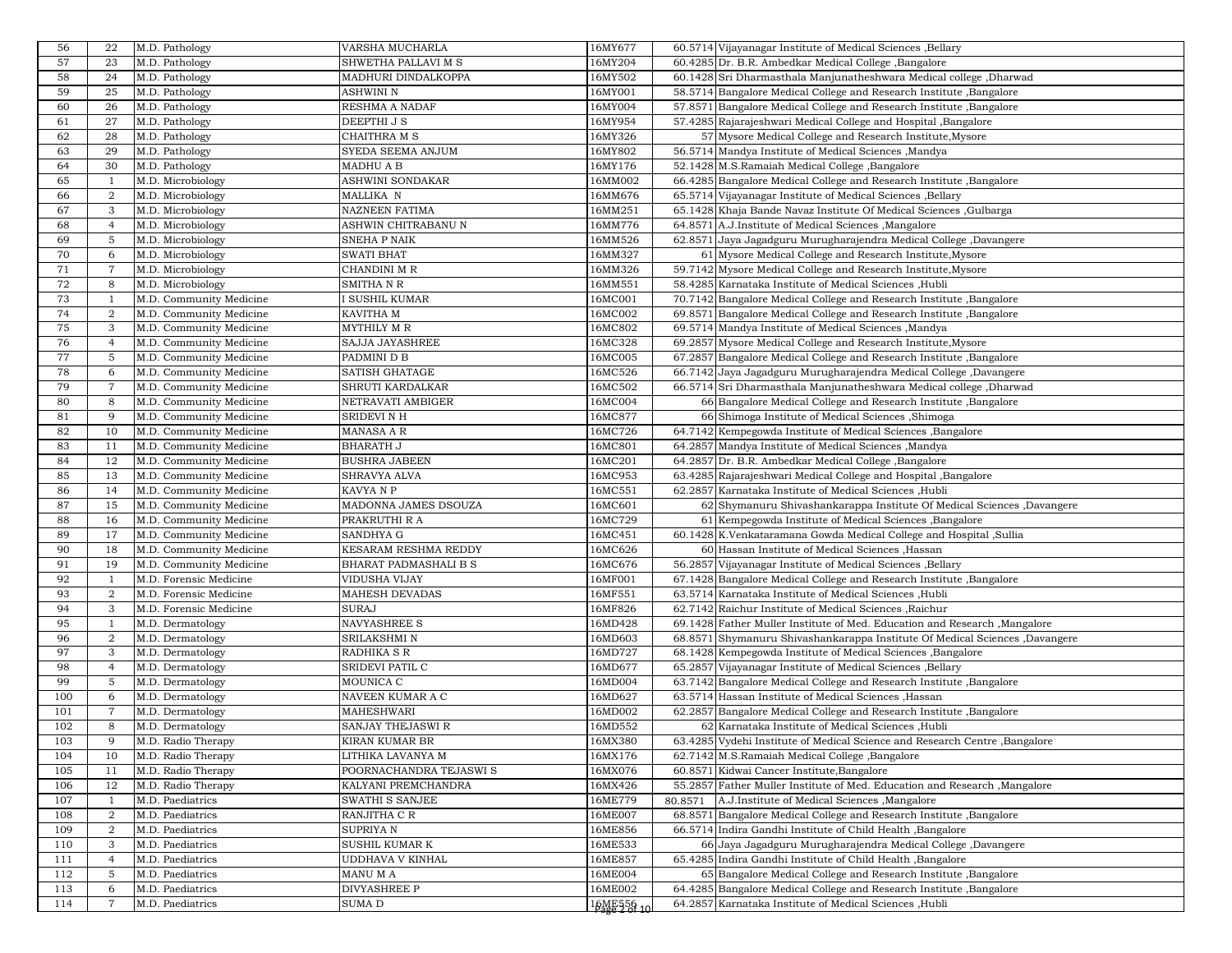| 56          | 22             | M.D. Pathology          | VARSHA MUCHARLA         | 16MY677    | 60.5714 Vijayanagar Institute of Medical Sciences , Bellary                                                                 |
|-------------|----------------|-------------------------|-------------------------|------------|-----------------------------------------------------------------------------------------------------------------------------|
| 57          | 23             | M.D. Pathology          | SHWETHA PALLAVI M S     | 16MY204    | 60.4285 Dr. B.R. Ambedkar Medical College, Bangalore                                                                        |
| 58          | 24             | M.D. Pathology          | MADHURI DINDALKOPPA     | 16MY502    | 60.1428 Sri Dharmasthala Manjunatheshwara Medical college, Dharwad                                                          |
| 59          | 25             | M.D. Pathology          | ASHWINI N               | 16MY001    | 58.5714 Bangalore Medical College and Research Institute, Bangalore                                                         |
| 60          | 26             | M.D. Pathology          | RESHMA A NADAF          | 16MY004    | 57.8571 Bangalore Medical College and Research Institute, Bangalore                                                         |
| 61          | 27             | M.D. Pathology          | DEEPTHI J S             | 16MY954    | 57.4285 Rajarajeshwari Medical College and Hospital , Bangalore                                                             |
| 62          | 28             | M.D. Pathology          | CHAITHRA M S            | 16MY326    | 57 Mysore Medical College and Research Institute, Mysore                                                                    |
| 63          | 29             | M.D. Pathology          | SYEDA SEEMA ANJUM       | 16MY802    | 56.5714 Mandya Institute of Medical Sciences , Mandya                                                                       |
| 64          | 30             | M.D. Pathology          | MADHU A B               | 16MY176    | 52.1428 M.S.Ramaiah Medical College ,Bangalore                                                                              |
| 65          | $\overline{1}$ | M.D. Microbiology       | ASHWINI SONDAKAR        | 16MM002    | 66.4285 Bangalore Medical College and Research Institute, Bangalore                                                         |
| 66          | $\overline{2}$ | M.D. Microbiology       | MALLIKA N               | 16MM676    | 65.5714 Vijayanagar Institute of Medical Sciences , Bellary                                                                 |
| 67          | 3              | M.D. Microbiology       | <b>NAZNEEN FATIMA</b>   | 16MM251    | 65.1428 Khaja Bande Navaz Institute Of Medical Sciences, Gulbarga                                                           |
|             |                |                         |                         |            |                                                                                                                             |
| 68          | $\overline{4}$ | M.D. Microbiology       | ASHWIN CHITRABANU N     | 16MM776    | 64.8571 A.J.Institute of Medical Sciences , Mangalore                                                                       |
| 69          | 5              | M.D. Microbiology       | <b>SNEHA P NAIK</b>     | 16MM526    | 62.8571 Jaya Jagadguru Murugharajendra Medical College ,Davangere                                                           |
| 70          | 6              | M.D. Microbiology       | <b>SWATI BHAT</b>       | 16MM327    | 61 Mysore Medical College and Research Institute, Mysore                                                                    |
| $7\sqrt{1}$ | 7              | M.D. Microbiology       | CHANDINI M R            | 16MM326    | 59.7142 Mysore Medical College and Research Institute, Mysore                                                               |
| 72          | 8              | M.D. Microbiology       | <b>SMITHANR</b>         | 16MM551    | 58.4285 Karnataka Institute of Medical Sciences ,Hubli                                                                      |
| 73          | 1              | M.D. Community Medicine | I SUSHIL KUMAR          | 16MC001    | 70.7142 Bangalore Medical College and Research Institute, Bangalore                                                         |
| 74          | 2              | M.D. Community Medicine | KAVITHA M               | 16MC002    | 69.8571 Bangalore Medical College and Research Institute, Bangalore                                                         |
| 75          | 3              | M.D. Community Medicine | <b>MYTHILY M R</b>      | 16MC802    | 69.5714 Mandya Institute of Medical Sciences , Mandya                                                                       |
| 76          | $\overline{4}$ | M.D. Community Medicine | <b>SAJJA JAYASHREE</b>  | 16MC328    | 69.2857 Mysore Medical College and Research Institute, Mysore                                                               |
| 77          | 5              | M.D. Community Medicine | PADMINI D B             | 16MC005    | 67.2857 Bangalore Medical College and Research Institute, Bangalore                                                         |
| 78          | 6              | M.D. Community Medicine | <b>SATISH GHATAGE</b>   | 16MC526    | 66.7142 Jaya Jagadguru Murugharajendra Medical College, Davangere                                                           |
| 79          | 7              | M.D. Community Medicine | SHRUTI KARDALKAR        | 16MC502    | 66.5714 Sri Dharmasthala Manjunatheshwara Medical college, Dharwad                                                          |
| 80          | 8              | M.D. Community Medicine | NETRAVATI AMBIGER       | 16MC004    | 66 Bangalore Medical College and Research Institute, Bangalore                                                              |
| 81          | 9              | M.D. Community Medicine | <b>SRIDEVI N H</b>      | 16MC877    | 66 Shimoga Institute of Medical Sciences , Shimoga                                                                          |
| 82          | 10             | M.D. Community Medicine | MANASA A R              | 16MC726    | 64.7142 Kempegowda Institute of Medical Sciences, Bangalore                                                                 |
| 83          | 11             | M.D. Community Medicine | <b>BHARATH J</b>        | 16MC801    | 64.2857 Mandya Institute of Medical Sciences , Mandya                                                                       |
| 84          | 12             | M.D. Community Medicine | <b>BUSHRA JABEEN</b>    | 16MC201    | 64.2857 Dr. B.R. Ambedkar Medical College, Bangalore                                                                        |
| 85          | 13             | M.D. Community Medicine | SHRAVYA ALVA            | 16MC953    | 63.4285 Rajarajeshwari Medical College and Hospital , Bangalore                                                             |
| 86          | 14             | M.D. Community Medicine | KAVYA N P               | 16MC551    | 62.2857 Karnataka Institute of Medical Sciences , Hubli                                                                     |
| 87          | 15             | M.D. Community Medicine | MADONNA JAMES DSOUZA    | 16MC601    | 62 Shymanuru Shivashankarappa Institute Of Medical Sciences ,Davangere                                                      |
| 88          | 16             |                         |                         | 16MC729    |                                                                                                                             |
|             |                | M.D. Community Medicine | PRAKRUTHI R A           |            | 61 Kempegowda Institute of Medical Sciences , Bangalore                                                                     |
| 89          | 17             | M.D. Community Medicine | <b>SANDHYA G</b>        | 16MC451    | 60.1428 K.Venkataramana Gowda Medical College and Hospital ,Sullia                                                          |
| 90          | 18             | M.D. Community Medicine | KESARAM RESHMA REDDY    | 16MC626    | 60 Hassan Institute of Medical Sciences , Hassan                                                                            |
| 91          | 19             | M.D. Community Medicine | BHARAT PADMASHALI B S   | 16MC676    | 56.2857 Vijayanagar Institute of Medical Sciences , Bellary                                                                 |
| 92          | 1              | M.D. Forensic Medicine  | VIDUSHA VIJAY           | 16MF001    | 67.1428 Bangalore Medical College and Research Institute, Bangalore                                                         |
| 93          | 2              | M.D. Forensic Medicine  | <b>MAHESH DEVADAS</b>   | 16MF551    | 63.5714 Karnataka Institute of Medical Sciences , Hubli                                                                     |
| 94          | 3              | M.D. Forensic Medicine  | <b>SURAJ</b>            | 16MF826    | 62.7142 Raichur Institute of Medical Sciences , Raichur                                                                     |
| 95          |                | M.D. Dermatology        | <b>NAVYASHREE S</b>     | 16MD428    | 69.1428 Father Muller Institute of Med. Education and Research, Mangalore                                                   |
| 96          | $\overline{2}$ | M.D. Dermatology        | SRILAKSHMI N            | 16MD603    | 68.8571 Shymanuru Shivashankarappa Institute Of Medical Sciences ,Davangere                                                 |
| 97          | 3              | M.D. Dermatology        | RADHIKA S R             | 16MD727    | 68.1428 Kempegowda Institute of Medical Sciences , Bangalore                                                                |
| 98          | $\overline{4}$ | M.D. Dermatology        | <b>SRIDEVI PATIL C</b>  | 16MD677    | 65.2857 Vijayanagar Institute of Medical Sciences , Bellary                                                                 |
| 99          | 5              | M.D. Dermatology        | MOUNICA C               | 16MD004    | 63.7142 Bangalore Medical College and Research Institute, Bangalore                                                         |
| 100         | 6              | M.D. Dermatology        | NAVEEN KUMAR A C        | 16MD627    | 63.5714 Hassan Institute of Medical Sciences , Hassan                                                                       |
| 101         | $\overline{7}$ | M.D. Dermatology        | <b>MAHESHWARI</b>       | 16MD002    | 62.2857 Bangalore Medical College and Research Institute, Bangalore                                                         |
| 102         | 8              | M.D. Dermatology        | SANJAY THEJASWI R       | 16MD552    | 62 Karnataka Institute of Medical Sciences , Hubli                                                                          |
| 103         | 9              | M.D. Radio Therapy      | KIRAN KUMAR BR          | 16MX380    | 63.4285 Vydehi Institute of Medical Science and Research Centre ,Bangalore                                                  |
| 104         | 10             | M.D. Radio Therapy      | LITHIKA LAVANYA M       | 16MX176    | 62.7142 M.S.Ramaiah Medical College, Bangalore                                                                              |
| 105         | 11             | M.D. Radio Therapy      | POORNACHANDRA TEJASWI S | 16MX076    | 60.8571 Kidwai Cancer Institute, Bangalore                                                                                  |
| 106         | 12             | M.D. Radio Therapy      | KALYANI PREMCHANDRA     | 16MX426    | 55.2857 Father Muller Institute of Med. Education and Research , Mangalore                                                  |
| 107         | -1             | M.D. Paediatrics        | <b>SWATHI S SANJEE</b>  | 16ME779    | 80.8571<br>A.J.Institute of Medical Sciences , Mangalore                                                                    |
| 108         | 2              | M.D. Paediatrics        | RANJITHA C R            | 16ME007    | 68.8571 Bangalore Medical College and Research Institute , Bangalore                                                        |
| 109         | $\overline{2}$ | M.D. Paediatrics        | <b>SUPRIYAN</b>         | 16ME856    | 66.5714 Indira Gandhi Institute of Child Health , Bangalore                                                                 |
|             |                |                         |                         |            |                                                                                                                             |
| 110         | 3              | M.D. Paediatrics        | <b>SUSHIL KUMAR K</b>   | 16ME533    | 66 Jaya Jagadguru Murugharajendra Medical College, Davangere<br>65.4285 Indira Gandhi Institute of Child Health , Bangalore |
| 111         | $\overline{4}$ | M.D. Paediatrics        | <b>UDDHAVA V KINHAL</b> | 16ME857    |                                                                                                                             |
| 112         | 5              | M.D. Paediatrics        | MANU M A                | 16ME004    | 65 Bangalore Medical College and Research Institute , Bangalore                                                             |
| 113         | 6              | M.D. Paediatrics        | <b>DIVYASHREE P</b>     | 16ME002    | 64.4285 Bangalore Medical College and Research Institute, Bangalore                                                         |
| 114         |                | M.D. Paediatrics        | SUMA D                  | 16ME556 10 | 64.2857 Karnataka Institute of Medical Sciences ,Hubli                                                                      |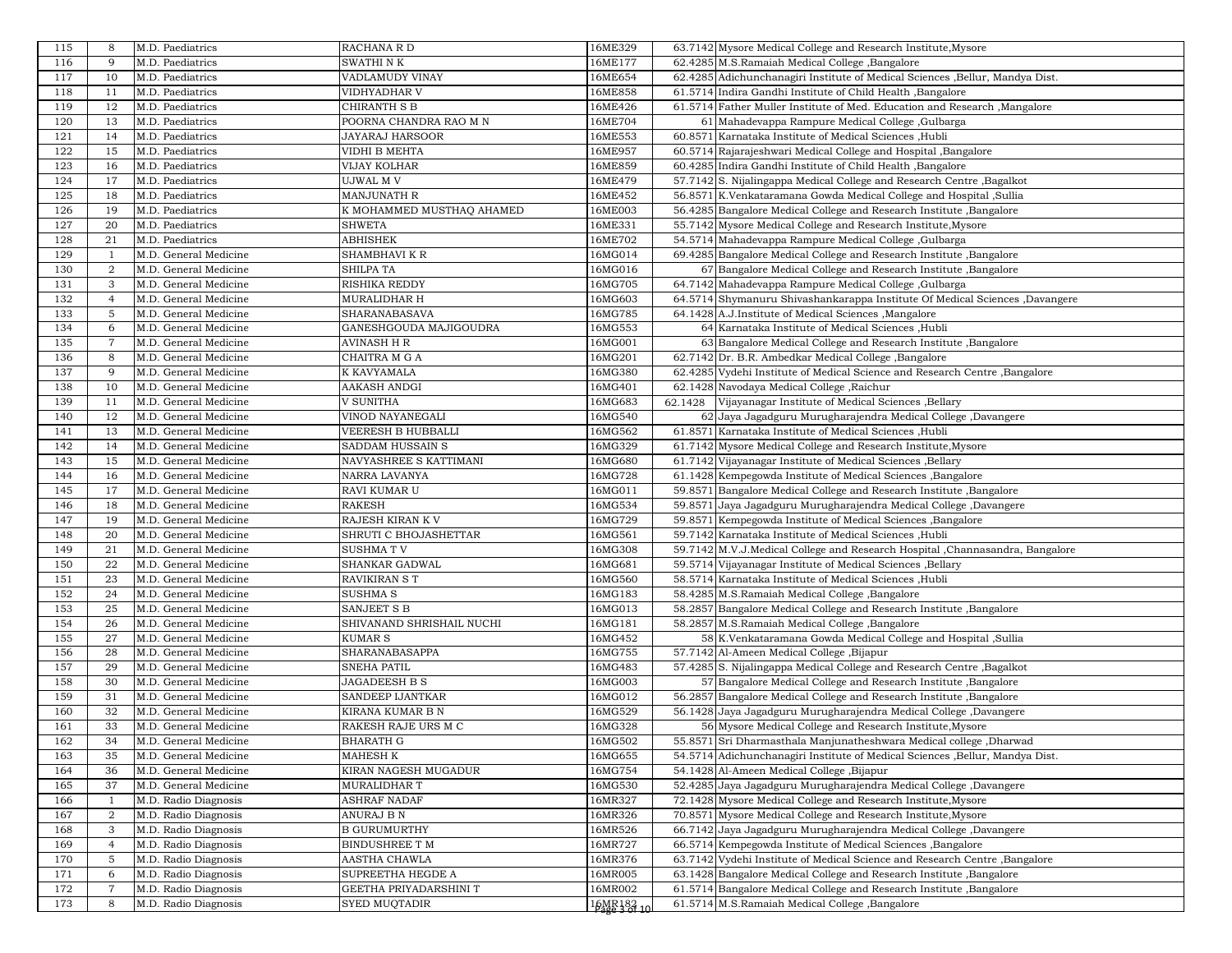| 116<br>117<br>118<br>119<br>120 | 9<br>10<br>11<br>12 | M.D. Paediatrics<br>M.D. Paediatrics<br>M.D. Paediatrics | <b>SWATHI N K</b><br>VADLAMUDY VINAY           | 16ME177<br>16ME654   | 62.4285 M.S.Ramaiah Medical College ,Bangalore                                                                        |
|---------------------------------|---------------------|----------------------------------------------------------|------------------------------------------------|----------------------|-----------------------------------------------------------------------------------------------------------------------|
|                                 |                     |                                                          |                                                |                      |                                                                                                                       |
|                                 |                     |                                                          |                                                |                      | 62.4285 Adichunchanagiri Institute of Medical Sciences , Bellur, Mandya Dist.                                         |
|                                 |                     |                                                          | <b>VIDHYADHAR V</b>                            | 16ME858              | 61.5714 Indira Gandhi Institute of Child Health , Bangalore                                                           |
|                                 |                     | M.D. Paediatrics                                         | <b>CHIRANTH S B</b>                            | 16ME426              | 61.5714 Father Muller Institute of Med. Education and Research, Mangalore                                             |
|                                 | 13                  | M.D. Paediatrics                                         | POORNA CHANDRA RAO M N                         | 16ME704              | 61 Mahadevappa Rampure Medical College, Gulbarga                                                                      |
|                                 | 14                  | M.D. Paediatrics                                         | JAYARAJ HARSOOR                                | 16ME553              | 60.8571 Karnataka Institute of Medical Sciences , Hubli                                                               |
| 121<br>122                      | 15                  |                                                          | VIDHI B MEHTA                                  | 16ME957              |                                                                                                                       |
|                                 |                     | M.D. Paediatrics                                         |                                                |                      | 60.5714 Rajarajeshwari Medical College and Hospital , Bangalore                                                       |
| 123                             | 16                  | M.D. Paediatrics                                         | <b>VIJAY KOLHAR</b>                            | 16ME859              | 60.4285 Indira Gandhi Institute of Child Health, Bangalore                                                            |
| 124                             | 17                  | M.D. Paediatrics                                         | UJWAL M V                                      | 16ME479              | 57.7142 S. Nijalingappa Medical College and Research Centre, Bagalkot                                                 |
| 125                             | 18                  | M.D. Paediatrics                                         | <b>MANJUNATH R</b>                             | 16ME452              | 56.8571 K.Venkataramana Gowda Medical College and Hospital , Sullia                                                   |
| 126                             | 19                  | M.D. Paediatrics                                         | K MOHAMMED MUSTHAQ AHAMED                      | 16ME003              | 56.4285 Bangalore Medical College and Research Institute, Bangalore                                                   |
| 127                             | 20                  | M.D. Paediatrics                                         | <b>SHWETA</b>                                  | 16ME331              | 55.7142 Mysore Medical College and Research Institute, Mysore                                                         |
| 128                             | 21                  | M.D. Paediatrics                                         | <b>ABHISHEK</b>                                | 16ME702              | 54.5714 Mahadevappa Rampure Medical College, Gulbarga                                                                 |
| 129                             | -1                  | M.D. General Medicine                                    | SHAMBHAVI K R                                  | 16MG014              | 69.4285 Bangalore Medical College and Research Institute, Bangalore                                                   |
| 130                             | $\overline{2}$      | M.D. General Medicine                                    | <b>SHILPA TA</b>                               | 16MG016              | 67 Bangalore Medical College and Research Institute, Bangalore                                                        |
| 131                             | 3                   | M.D. General Medicine                                    | <b>RISHIKA REDDY</b>                           | 16MG705              | 64.7142 Mahadevappa Rampure Medical College, Gulbarga                                                                 |
| 132                             | $\overline{4}$      | M.D. General Medicine                                    | <b>MURALIDHAR H</b>                            | 16MG603              | 64.5714 Shymanuru Shivashankarappa Institute Of Medical Sciences, Davangere                                           |
| 133                             | 5                   | M.D. General Medicine                                    | SHARANABASAVA                                  | 16MG785              | 64.1428 A.J.Institute of Medical Sciences , Mangalore                                                                 |
| 134                             | 6                   | M.D. General Medicine                                    | GANESHGOUDA MAJIGOUDRA                         | 16MG553              | 64 Karnataka Institute of Medical Sciences ,Hubli                                                                     |
| 135                             | $\overline{7}$      | M.D. General Medicine                                    | <b>AVINASH H R</b>                             | 16MG001              | 63 Bangalore Medical College and Research Institute, Bangalore                                                        |
| 136                             | 8                   | M.D. General Medicine                                    | CHAITRA M G A                                  | 16MG201              | 62.7142 Dr. B.R. Ambedkar Medical College, Bangalore                                                                  |
| 137                             | 9                   | M.D. General Medicine                                    | K KAVYAMALA                                    | 16MG380              | 62.4285 Vydehi Institute of Medical Science and Research Centre , Bangalore                                           |
| 138                             | 10                  | M.D. General Medicine                                    | <b>AAKASH ANDGI</b>                            | 16MG401              | 62.1428 Navodaya Medical College, Raichur                                                                             |
| 139                             | 11                  | M.D. General Medicine                                    | <b>V SUNITHA</b>                               | 16MG683              | 62.1428<br>Vijayanagar Institute of Medical Sciences , Bellary                                                        |
| 140                             | 12                  | M.D. General Medicine                                    | VINOD NAYANEGALI                               | 16MG540              | 62 Jaya Jagadguru Murugharajendra Medical College, Davangere                                                          |
| 141                             | 13                  | M.D. General Medicine                                    | <b>VEERESH B HUBBALLI</b>                      | 16MG562              | 61.8571 Karnataka Institute of Medical Sciences , Hubli                                                               |
| 142                             | 14                  |                                                          | SADDAM HUSSAIN S                               | 16MG329              | 61.7142 Mysore Medical College and Research Institute, Mysore                                                         |
|                                 |                     | M.D. General Medicine                                    |                                                |                      | 61.7142 Vijayanagar Institute of Medical Sciences , Bellary                                                           |
| 143                             | 15                  | M.D. General Medicine                                    | NAVYASHREE S KATTIMANI                         | 16MG680              |                                                                                                                       |
| 144                             | 16                  | M.D. General Medicine                                    | NARRA LAVANYA                                  | 16MG728              | 61.1428 Kempegowda Institute of Medical Sciences , Bangalore                                                          |
| 145                             | 17                  | M.D. General Medicine                                    | <b>RAVI KUMAR U</b>                            | 16MG011              | 59.8571 Bangalore Medical College and Research Institute, Bangalore                                                   |
| 146                             | 18                  | M.D. General Medicine                                    | <b>RAKESH</b>                                  | 16MG534              | 59.8571 Jaya Jagadguru Murugharajendra Medical College, Davangere                                                     |
| 147                             | 19                  | M.D. General Medicine                                    | RAJESH KIRAN K V                               | 16MG729              | 59.8571 Kempegowda Institute of Medical Sciences , Bangalore                                                          |
| 148                             | 20                  | M.D. General Medicine                                    | SHRUTI C BHOJASHETTAR                          | 16MG561              | 59.7142 Karnataka Institute of Medical Sciences, Hubli                                                                |
| 149                             | 21                  | M.D. General Medicine                                    | <b>SUSHMATV</b>                                | 16MG308              | 59.7142 M.V.J.Medical College and Research Hospital ,Channasandra, Bangalore                                          |
| 150                             | 22                  | M.D. General Medicine                                    | <b>SHANKAR GADWAL</b>                          | 16MG681              | 59.5714 Vijayanagar Institute of Medical Sciences , Bellary                                                           |
| 151                             | 23                  | M.D. General Medicine                                    | <b>RAVIKIRAN S T</b>                           | 16MG560              | 58.5714 Karnataka Institute of Medical Sciences , Hubli                                                               |
| 152                             | 24                  | M.D. General Medicine                                    | <b>SUSHMA S</b>                                | 16MG183              | 58.4285 M.S.Ramaiah Medical College ,Bangalore                                                                        |
| 153                             | 25                  | M.D. General Medicine                                    | SANJEET S B                                    | 16MG013              | 58.2857 Bangalore Medical College and Research Institute, Bangalore                                                   |
| 154                             | 26                  | M.D. General Medicine                                    | SHIVANAND SHRISHAIL NUCHI                      | 16MG181              | 58.2857 M.S.Ramaiah Medical College ,Bangalore                                                                        |
| 155                             | 27                  | M.D. General Medicine                                    | <b>KUMAR S</b>                                 | 16MG452              | 58 K.Venkataramana Gowda Medical College and Hospital , Sullia                                                        |
| 156                             | 28                  | M.D. General Medicine                                    | SHARANABASAPPA                                 | 16MG755              | 57.7142 Al-Ameen Medical College , Bijapur                                                                            |
| 157                             | 29                  | M.D. General Medicine                                    | <b>SNEHA PATIL</b>                             | 16MG483              | 57.4285 S. Nijalingappa Medical College and Research Centre, Bagalkot                                                 |
| 158                             | 30                  | M.D. General Medicine                                    | <b>JAGADEESH B S</b>                           | 16MG003              | 57 Bangalore Medical College and Research Institute, Bangalore                                                        |
| 159                             | 31                  | M.D. General Medicine                                    | <b>SANDEEP IJANTKAR</b>                        | 16MG012              | 56.2857 Bangalore Medical College and Research Institute , Bangalore                                                  |
| 160                             | 32                  | M.D. General Medicine                                    | KIRANA KUMAR B N                               | 16MG529              | 56.1428 Jaya Jagadguru Murugharajendra Medical College, Davangere                                                     |
| 161                             | 33                  | M.D. General Medicine                                    | RAKESH RAJE URS M C                            | 16MG328              | 56 Mysore Medical College and Research Institute, Mysore                                                              |
| 162                             | 34                  |                                                          |                                                | 16MG502              | 55.8571 Sri Dharmasthala Manjunatheshwara Medical college, Dharwad                                                    |
| 163                             | 35                  | M.D. General Medicine<br>M.D. General Medicine           | BHARATH G<br><b>MAHESH K</b>                   | 16MG655              | 54.5714 Adichunchanagiri Institute of Medical Sciences , Bellur, Mandya Dist.                                         |
| 164                             | 36                  |                                                          |                                                |                      | 54.1428 Al-Ameen Medical College, Bijapur                                                                             |
|                                 |                     | M.D. General Medicine                                    | KIRAN NAGESH MUGADUR                           | 16MG754              |                                                                                                                       |
| 165                             | 37                  | M.D. General Medicine                                    | <b>MURALIDHAR T</b>                            | 16MG530              | 52.4285 Jaya Jagadguru Murugharajendra Medical College, Davangere                                                     |
| 166                             | -1                  | M.D. Radio Diagnosis                                     | <b>ASHRAF NADAF</b>                            | 16MR327              | 72.1428 Mysore Medical College and Research Institute, Mysore                                                         |
| 167                             | $\overline{2}$      | M.D. Radio Diagnosis                                     | ANURAJ B N                                     | 16MR326              | 70.8571 Mysore Medical College and Research Institute, Mysore                                                         |
|                                 | 3                   | M.D. Radio Diagnosis                                     | <b>B GURUMURTHY</b>                            | 16MR526              | 66.7142 Jaya Jagadguru Murugharajendra Medical College, Davangere                                                     |
| 168                             |                     |                                                          | <b>BINDUSHREE T M</b>                          | 16MR727              | 66.5714 Kempegowda Institute of Medical Sciences , Bangalore                                                          |
| 169                             | $\overline{4}$      | M.D. Radio Diagnosis                                     |                                                |                      |                                                                                                                       |
| 170                             | 5                   | M.D. Radio Diagnosis                                     | <b>AASTHA CHAWLA</b>                           | 16MR376              | 63.7142 Vydehi Institute of Medical Science and Research Centre , Bangalore                                           |
| 171                             | 6                   | M.D. Radio Diagnosis                                     | SUPREETHA HEGDE A                              | 16MR005              | 63.1428 Bangalore Medical College and Research Institute , Bangalore                                                  |
| 172<br>173                      | $\overline{7}$<br>8 | M.D. Radio Diagnosis<br>M.D. Radio Diagnosis             | GEETHA PRIYADARSHINI T<br><b>SYED MUQTADIR</b> | 16MR002<br>16MR18210 | 61.5714 Bangalore Medical College and Research Institute, Bangalore<br>61.5714 M.S.Ramaiah Medical College, Bangalore |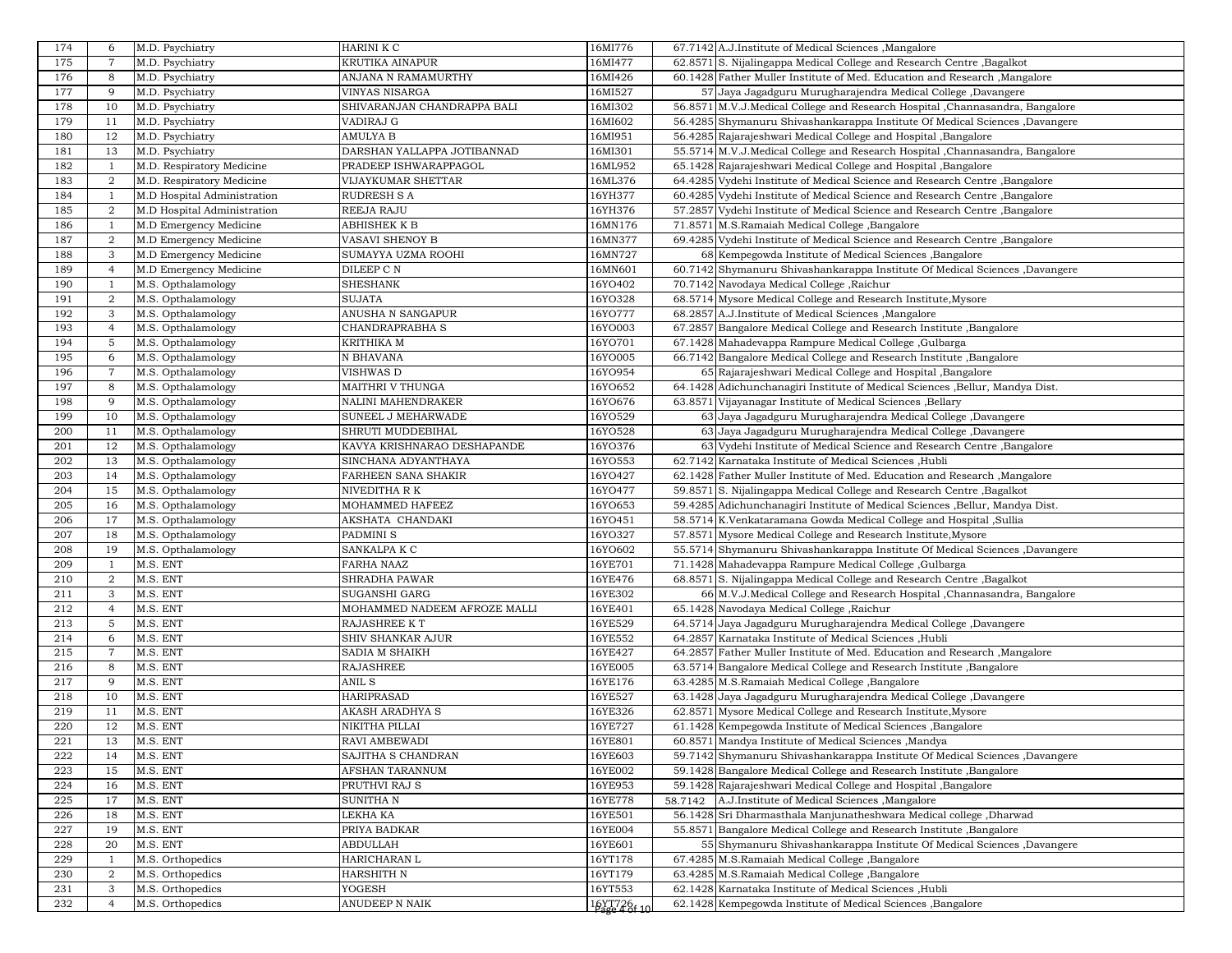| 174 | 6              | M.D. Psychiatry             | HARINI K C                   | 16MI776     | 67.7142 A.J.Institute of Medical Sciences , Mangalore                         |
|-----|----------------|-----------------------------|------------------------------|-------------|-------------------------------------------------------------------------------|
| 175 | $\overline{7}$ | M.D. Psychiatry             | <b>KRUTIKA AINAPUR</b>       | 16MI477     | 62.8571 S. Nijalingappa Medical College and Research Centre, Bagalkot         |
| 176 | 8              | M.D. Psychiatry             | ANJANA N RAMAMURTHY          | 16MI426     | 60.1428 Father Muller Institute of Med. Education and Research , Mangalore    |
| 177 | 9              | M.D. Psychiatry             | VINYAS NISARGA               | 16MI527     | 57 Jaya Jagadguru Murugharajendra Medical College, Davangere                  |
| 178 | 10             | M.D. Psychiatry             | SHIVARANJAN CHANDRAPPA BALI  | 16MI302     | 56.8571 M.V.J.Medical College and Research Hospital , Channasandra, Bangalore |
| 179 | 11             |                             | VADIRAJ G                    | 16MI602     |                                                                               |
|     |                | M.D. Psychiatry             |                              |             | 56.4285 Shymanuru Shivashankarappa Institute Of Medical Sciences ,Davangere   |
| 180 | 12             | M.D. Psychiatry             | AMULYA B                     | 16MI951     | 56.4285 Rajarajeshwari Medical College and Hospital , Bangalore               |
| 181 | 13             | M.D. Psychiatry             | DARSHAN YALLAPPA JOTIBANNAD  | 16MI301     | 55.5714 M.V.J.Medical College and Research Hospital ,Channasandra, Bangalore  |
| 182 | 1              | M.D. Respiratory Medicine   | PRADEEP ISHWARAPPAGOL        | 16ML952     | 65.1428 Rajarajeshwari Medical College and Hospital , Bangalore               |
| 183 | $\overline{a}$ | M.D. Respiratory Medicine   | VIJAYKUMAR SHETTAR           | 16ML376     | 64.4285 Vydehi Institute of Medical Science and Research Centre, Bangalore    |
| 184 | 1              | M.D Hospital Administration | <b>RUDRESH S A</b>           | 16YH377     | 60.4285 Vydehi Institute of Medical Science and Research Centre, Bangalore    |
| 185 | $\overline{2}$ | M.D Hospital Administration | REEJA RAJU                   | 16YH376     | 57.2857 Vydehi Institute of Medical Science and Research Centre, Bangalore    |
| 186 | 1              | M.D Emergency Medicine      | <b>ABHISHEK K B</b>          | 16MN176     | 71.8571 M.S.Ramaiah Medical College ,Bangalore                                |
| 187 | $\overline{2}$ | M.D Emergency Medicine      | <b>VASAVI SHENOY B</b>       | 16MN377     | 69.4285 Vydehi Institute of Medical Science and Research Centre, Bangalore    |
| 188 | 3              | M.D Emergency Medicine      | SUMAYYA UZMA ROOHI           | 16MN727     | 68 Kempegowda Institute of Medical Sciences , Bangalore                       |
| 189 | $\overline{4}$ | M.D Emergency Medicine      | DILEEP C N                   | 16MN601     | 60.7142 Shymanuru Shivashankarappa Institute Of Medical Sciences ,Davangere   |
| 190 |                | M.S. Opthalamology          | <b>SHESHANK</b>              | 16YO402     | 70.7142 Navodaya Medical College, Raichur                                     |
| 191 | $\overline{a}$ | M.S. Opthalamology          | <b>SUJATA</b>                | 16YO328     | 68.5714 Mysore Medical College and Research Institute, Mysore                 |
| 192 | 3              | M.S. Opthalamology          | ANUSHA N SANGAPUR            | 16YO777     | 68.2857 A.J.Institute of Medical Sciences , Mangalore                         |
| 193 | $\overline{4}$ | M.S. Opthalamology          | CHANDRAPRABHA S              | 16YO003     | 67.2857 Bangalore Medical College and Research Institute, Bangalore           |
| 194 | 5              | M.S. Opthalamology          | KRITHIKA M                   | 16YO701     | 67.1428 Mahadevappa Rampure Medical College, Gulbarga                         |
| 195 | 6              | M.S. Opthalamology          | N BHAVANA                    | 16YO005     | 66.7142 Bangalore Medical College and Research Institute, Bangalore           |
| 196 | $\overline{7}$ | M.S. Opthalamology          | VISHWAS D                    | 16YO954     | 65 Rajarajeshwari Medical College and Hospital , Bangalore                    |
| 197 | 8              | M.S. Opthalamology          | <b>MAITHRI V THUNGA</b>      | 16YO652     | 64.1428 Adichunchanagiri Institute of Medical Sciences , Bellur, Mandya Dist. |
| 198 | 9              | M.S. Opthalamology          | NALINI MAHENDRAKER           | 16YO676     | 63.8571<br>Vijayanagar Institute of Medical Sciences , Bellary                |
| 199 | 10             | M.S. Opthalamology          | SUNEEL J MEHARWADE           | 16YO529     | 63 Jaya Jagadguru Murugharajendra Medical College, Davangere                  |
| 200 | 11             |                             | SHRUTI MUDDEBIHAL            | 16YO528     |                                                                               |
|     |                | M.S. Opthalamology          |                              | 16YO376     | 63 Jaya Jagadguru Murugharajendra Medical College, Davangere                  |
| 201 | 12             | M.S. Opthalamology          | KAVYA KRISHNARAO DESHAPANDE  |             | 63 Vydehi Institute of Medical Science and Research Centre, Bangalore         |
| 202 | 13             | M.S. Opthalamology          | SINCHANA ADYANTHAYA          | 16YO553     | 62.7142 Karnataka Institute of Medical Sciences , Hubli                       |
| 203 | 14             | M.S. Opthalamology          | FARHEEN SANA SHAKIR          | 16YO427     | 62.1428 Father Muller Institute of Med. Education and Research , Mangalore    |
| 204 | 15             | M.S. Opthalamology          | NIVEDITHA R K                | 16YO477     | 59.8571 S. Nijalingappa Medical College and Research Centre , Bagalkot        |
| 205 | 16             | M.S. Opthalamology          | MOHAMMED HAFEEZ              | 16YO653     | 59.4285 Adichunchanagiri Institute of Medical Sciences , Bellur, Mandya Dist. |
| 206 | 17             | M.S. Opthalamology          | AKSHATA CHANDAKI             | 16YO451     | 58.5714 K.Venkataramana Gowda Medical College and Hospital , Sullia           |
| 207 | 18             | M.S. Opthalamology          | PADMINI <sub>S</sub>         | 16YO327     | 57.8571 Mysore Medical College and Research Institute, Mysore                 |
| 208 | 19             | M.S. Opthalamology          | SANKALPA K C                 | 16YO602     | 55.5714 Shymanuru Shivashankarappa Institute Of Medical Sciences ,Davangere   |
| 209 | -1             | M.S. ENT                    | <b>FARHA NAAZ</b>            | 16YE701     | 71.1428 Mahadevappa Rampure Medical College, Gulbarga                         |
| 210 | $\overline{2}$ | M.S. ENT                    | <b>SHRADHA PAWAR</b>         | 16YE476     | 68.8571<br>S. Nijalingappa Medical College and Research Centre, Bagalkot      |
| 211 | 3              | M.S. ENT                    | <b>SUGANSHI GARG</b>         | 16YE302     | 66 M.V.J.Medical College and Research Hospital , Channasandra, Bangalore      |
| 212 | $\overline{4}$ | M.S. ENT                    | MOHAMMED NADEEM AFROZE MALLI | 16YE401     | 65.1428 Navodaya Medical College, Raichur                                     |
| 213 | 5              | M.S. ENT                    | <b>RAJASHREE KT</b>          | 16YE529     | 64.5714 Jaya Jagadguru Murugharajendra Medical College, Davangere             |
| 214 | 6              | M.S. ENT                    | <b>SHIV SHANKAR AJUR</b>     | 16YE552     | 64.2857 Karnataka Institute of Medical Sciences ,Hubli                        |
| 215 | $\tau$         | M.S. ENT                    | <b>SADIA M SHAIKH</b>        | 16YE427     | 64.2857 Father Muller Institute of Med. Education and Research, Mangalore     |
| 216 | 8              | M.S. ENT                    | <b>RAJASHREE</b>             | 16YE005     | 63.5714 Bangalore Medical College and Research Institute, Bangalore           |
| 217 | 9              | M.S. ENT                    | ANIL S                       | 16YE176     | 63.4285 M.S.Ramaiah Medical College, Bangalore                                |
| 218 | 10             | M.S. ENT                    | <b>HARIPRASAD</b>            | 16YE527     | Jaya Jagadguru Murugharajendra Medical College, Davangere<br>63.1428          |
| 219 | 11             | M.S. ENT                    | <b>AKASH ARADHYA S</b>       | 16YE326     | 62.8571 Mysore Medical College and Research Institute, Mysore                 |
| 220 | 12             | M.S. ENT                    | NIKITHA PILLAI               | 16YE727     | 61.1428 Kempegowda Institute of Medical Sciences , Bangalore                  |
| 221 | 13             | M.S. ENT                    | RAVI AMBEWADI                | 16YE801     | 60.8571 Mandya Institute of Medical Sciences , Mandya                         |
| 222 | 14             | M.S. ENT                    | SAJITHA S CHANDRAN           | 16YE603     | 59.7142 Shymanuru Shivashankarappa Institute Of Medical Sciences ,Davangere   |
| 223 | 15             | M.S. ENT                    | AFSHAN TARANNUM              | 16YE002     | 59.1428 Bangalore Medical College and Research Institute , Bangalore          |
|     |                |                             |                              |             |                                                                               |
| 224 | 16             | M.S. ENT                    | PRUTHVI RAJ S                | 16YE953     | 59.1428 Rajarajeshwari Medical College and Hospital ,Bangalore                |
| 225 | 17             | M.S. ENT                    | SUNITHA N                    | 16YE778     | 58.7142<br>A.J.Institute of Medical Sciences , Mangalore                      |
| 226 | 18             | M.S. ENT                    | LEKHA KA                     | 16YE501     | 56.1428 Sri Dharmasthala Manjunatheshwara Medical college, Dharwad            |
| 227 | 19             | M.S. ENT                    | PRIYA BADKAR                 | 16YE004     | 55.8571 Bangalore Medical College and Research Institute, Bangalore           |
| 228 | 20             | M.S. ENT                    | <b>ABDULLAH</b>              | 16YE601     | 55 Shymanuru Shivashankarappa Institute Of Medical Sciences ,Davangere        |
| 229 | 1              | M.S. Orthopedics            | HARICHARAN L                 | 16YT178     | 67.4285 M.S.Ramaiah Medical College, Bangalore                                |
| 230 | $\overline{2}$ | M.S. Orthopedics            | HARSHITH N                   | 16YT179     | 63.4285 M.S.Ramaiah Medical College, Bangalore                                |
| 231 | 3              | M.S. Orthopedics            | YOGESH                       | 16YT553     | 62.1428 Karnataka Institute of Medical Sciences ,Hubli                        |
| 232 | $\overline{4}$ | M.S. Orthopedics            | ANUDEEP N NAIK               | 16YT726f 10 | 62.1428 Kempegowda Institute of Medical Sciences , Bangalore                  |
|     |                |                             |                              |             |                                                                               |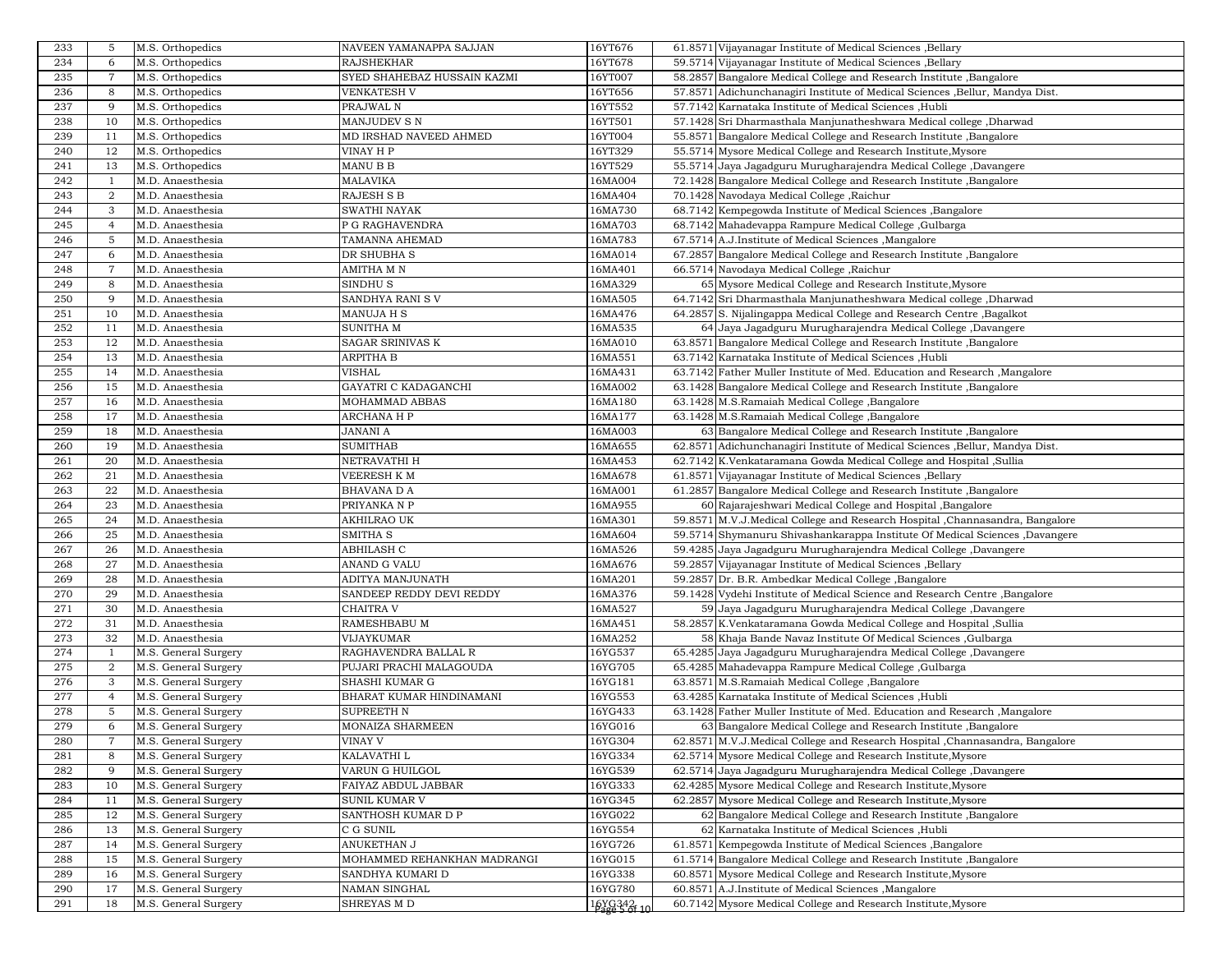| 233 | 5              | M.S. Orthopedics     | NAVEEN YAMANAPPA SAJJAN     | 16YT676     | 61.8571 Vijayanagar Institute of Medical Sciences , Bellary                   |
|-----|----------------|----------------------|-----------------------------|-------------|-------------------------------------------------------------------------------|
| 234 | 6              | M.S. Orthopedics     | <b>RAJSHEKHAR</b>           | 16YT678     | 59.5714 Vijayanagar Institute of Medical Sciences , Bellary                   |
| 235 | 7              | M.S. Orthopedics     | SYED SHAHEBAZ HUSSAIN KAZMI | 16YT007     | 58.2857 Bangalore Medical College and Research Institute, Bangalore           |
| 236 | 8              | M.S. Orthopedics     | <b>VENKATESH V</b>          | 16YT656     | 57.8571 Adichunchanagiri Institute of Medical Sciences , Bellur, Mandya Dist. |
| 237 | 9              | M.S. Orthopedics     | PRAJWAL N                   | 16YT552     | 57.7142 Karnataka Institute of Medical Sciences , Hubli                       |
| 238 | 10             | M.S. Orthopedics     | MANJUDEV SN                 | 16YT501     | 57.1428 Sri Dharmasthala Manjunatheshwara Medical college, Dharwad            |
| 239 | 11             | M.S. Orthopedics     | MD IRSHAD NAVEED AHMED      | 16YT004     | 55.8571 Bangalore Medical College and Research Institute, Bangalore           |
| 240 | 12             | M.S. Orthopedics     | VINAY H P                   | 16YT329     | 55.5714 Mysore Medical College and Research Institute, Mysore                 |
| 241 | 13             | M.S. Orthopedics     | MANU B B                    | 16YT529     | 55.5714 Jaya Jagadguru Murugharajendra Medical College, Davangere             |
| 242 | -1             | M.D. Anaesthesia     | MALAVIKA                    | 16MA004     | 72.1428 Bangalore Medical College and Research Institute , Bangalore          |
| 243 | $\overline{2}$ | M.D. Anaesthesia     | RAJESH S B                  | 16MA404     | 70.1428 Navodaya Medical College, Raichur                                     |
| 244 | 3              | M.D. Anaesthesia     | SWATHI NAYAK                | 16MA730     |                                                                               |
|     |                |                      |                             |             | 68.7142 Kempegowda Institute of Medical Sciences , Bangalore                  |
| 245 | $\overline{4}$ | M.D. Anaesthesia     | P G RAGHAVENDRA             | 16MA703     | 68.7142 Mahadevappa Rampure Medical College, Gulbarga                         |
| 246 | 5              | M.D. Anaesthesia     | TAMANNA AHEMAD              | 16MA783     | 67.5714 A.J.Institute of Medical Sciences , Mangalore                         |
| 247 | 6              | M.D. Anaesthesia     | DR SHUBHA S                 | 16MA014     | 67.2857 Bangalore Medical College and Research Institute, Bangalore           |
| 248 | 7              | M.D. Anaesthesia     | AMITHA M N                  | 16MA401     | 66.5714 Navodaya Medical College, Raichur                                     |
| 249 | 8              | M.D. Anaesthesia     | SINDHU <sub>S</sub>         | 16MA329     | 65 Mysore Medical College and Research Institute, Mysore                      |
| 250 | 9              | M.D. Anaesthesia     | SANDHYA RANI S V            | 16MA505     | 64.7142 Sri Dharmasthala Manjunatheshwara Medical college, Dharwad            |
| 251 | 10             | M.D. Anaesthesia     | MANUJA H S                  | 16MA476     | 64.2857 S. Nijalingappa Medical College and Research Centre, Bagalkot         |
| 252 | 11             | M.D. Anaesthesia     | <b>SUNITHA M</b>            | 16MA535     | 64 Jaya Jagadguru Murugharajendra Medical College, Davangere                  |
| 253 | 12             | M.D. Anaesthesia     | SAGAR SRINIVAS K            | 16MA010     | 63.8571 Bangalore Medical College and Research Institute , Bangalore          |
| 254 | 13             | M.D. Anaesthesia     | ARPITHA B                   | 16MA551     | 63.7142 Karnataka Institute of Medical Sciences , Hubli                       |
| 255 | 14             | M.D. Anaesthesia     | <b>VISHAL</b>               | 16MA431     | 63.7142 Father Muller Institute of Med. Education and Research , Mangalore    |
| 256 | 15             | M.D. Anaesthesia     | GAYATRI C KADAGANCHI        | 16MA002     | 63.1428 Bangalore Medical College and Research Institute , Bangalore          |
| 257 | 16             | M.D. Anaesthesia     | MOHAMMAD ABBAS              | 16MA180     | 63.1428 M.S.Ramaiah Medical College, Bangalore                                |
| 258 | 17             | M.D. Anaesthesia     | ARCHANA H P                 | 16MA177     | 63.1428 M.S.Ramaiah Medical College, Bangalore                                |
| 259 | 18             | M.D. Anaesthesia     | <b>JANANI A</b>             | 16MA003     | 63 Bangalore Medical College and Research Institute, Bangalore                |
| 260 | 19             | M.D. Anaesthesia     | <b>SUMITHAB</b>             | 16MA655     | 62.8571 Adichunchanagiri Institute of Medical Sciences , Bellur, Mandya Dist. |
| 261 | 20             | M.D. Anaesthesia     | NETRAVATHI H                | 16MA453     | 62.7142 K.Venkataramana Gowda Medical College and Hospital , Sullia           |
| 262 | 21             | M.D. Anaesthesia     | VEERESH K M                 | 16MA678     | 61.8571 Vijayanagar Institute of Medical Sciences , Bellary                   |
| 263 | 22             | M.D. Anaesthesia     | BHAVANA D A                 | 16MA001     |                                                                               |
| 264 | 23             |                      | PRIYANKA N P                | 16MA955     | 61.2857 Bangalore Medical College and Research Institute, Bangalore           |
|     |                | M.D. Anaesthesia     |                             |             | 60 Rajarajeshwari Medical College and Hospital , Bangalore                    |
| 265 | 24             | M.D. Anaesthesia     | AKHILRAO UK                 | 16MA301     | 59.8571 M.V.J.Medical College and Research Hospital , Channasandra, Bangalore |
| 266 | 25             | M.D. Anaesthesia     | SMITHA S                    | 16MA604     | 59.5714 Shymanuru Shivashankarappa Institute Of Medical Sciences ,Davangere   |
| 267 | 26             | M.D. Anaesthesia     | ABHILASH C                  | 16MA526     | 59.4285 Jaya Jagadguru Murugharajendra Medical College, Davangere             |
| 268 | 27             | M.D. Anaesthesia     | ANAND G VALU                | 16MA676     | 59.2857 Vijayanagar Institute of Medical Sciences , Bellary                   |
| 269 | 28             | M.D. Anaesthesia     | ADITYA MANJUNATH            | 16MA201     | 59.2857 Dr. B.R. Ambedkar Medical College, Bangalore                          |
| 270 | 29             | M.D. Anaesthesia     | SANDEEP REDDY DEVI REDDY    | 16MA376     | 59.1428 Vydehi Institute of Medical Science and Research Centre, Bangalore    |
| 271 | 30             | M.D. Anaesthesia     | CHAITRA V                   | 16MA527     | 59 Jaya Jagadguru Murugharajendra Medical College, Davangere                  |
| 272 | 31             | M.D. Anaesthesia     | RAMESHBABU M                | 16MA451     | 58.2857 K.Venkataramana Gowda Medical College and Hospital , Sullia           |
| 273 | 32             | M.D. Anaesthesia     | VIJAYKUMAR                  | 16MA252     | 58 Khaja Bande Navaz Institute Of Medical Sciences , Gulbarga                 |
| 274 | 1              | M.S. General Surgery | RAGHAVENDRA BALLAL R        | 16YG537     | 65.4285 Jaya Jagadguru Murugharajendra Medical College, Davangere             |
| 275 | 2              | M.S. General Surgery | PUJARI PRACHI MALAGOUDA     | 16YG705     | 65.4285 Mahadevappa Rampure Medical College, Gulbarga                         |
| 276 | 3              | M.S. General Surgery | SHASHI KUMAR G              | 16YG181     | 63.8571 M.S.Ramaiah Medical College, Bangalore                                |
| 277 | $\overline{4}$ | M.S. General Surgery | BHARAT KUMAR HINDINAMANI    | 16YG553     | 63.4285 Karnataka Institute of Medical Sciences ,Hubli                        |
| 278 | 5              | M.S. General Surgery | SUPREETH N                  | 16YG433     | 63.1428 Father Muller Institute of Med. Education and Research , Mangalore    |
| 279 | 6              | M.S. General Surgery | MONAIZA SHARMEEN            | 16YG016     | 63 Bangalore Medical College and Research Institute, Bangalore                |
| 280 |                | M.S. General Surgery | VINAY V                     | 16YG304     | 62.8571 M.V.J.Medical College and Research Hospital ,Channasandra, Bangalore  |
| 281 | 8              | M.S. General Surgery | KALAVATHI L                 | 16YG334     | 62.5714 Mysore Medical College and Research Institute, Mysore                 |
| 282 | 9              | M.S. General Surgery | VARUN G HUILGOL             | 16YG539     | 62.5714 Jaya Jagadguru Murugharajendra Medical College, Davangere             |
| 283 | 10             | M.S. General Surgery | FAIYAZ ABDUL JABBAR         | 16YG333     | 62.4285 Mysore Medical College and Research Institute, Mysore                 |
| 284 | 11             | M.S. General Surgery | SUNIL KUMAR V               | 16YG345     | 62.2857 Mysore Medical College and Research Institute, Mysore                 |
| 285 | 12             |                      | SANTHOSH KUMAR D P          | 16YG022     | 62 Bangalore Medical College and Research Institute , Bangalore               |
|     |                | M.S. General Surgery |                             | 16YG554     |                                                                               |
| 286 | 13             | M.S. General Surgery | C G SUNIL                   |             | 62 Karnataka Institute of Medical Sciences ,Hubli                             |
| 287 | 14             | M.S. General Surgery | ANUKETHAN J                 | 16YG726     | 61.8571 Kempegowda Institute of Medical Sciences , Bangalore                  |
| 288 | 15             | M.S. General Surgery | MOHAMMED REHANKHAN MADRANGI | 16YG015     | 61.5714 Bangalore Medical College and Research Institute , Bangalore          |
| 289 | 16             | M.S. General Surgery | SANDHYA KUMARI D            | 16YG338     | 60.8571 Mysore Medical College and Research Institute, Mysore                 |
| 290 | 17             | M.S. General Surgery | NAMAN SINGHAL               | 16YG780     | 60.8571 A.J.Institute of Medical Sciences , Mangalore                         |
| 291 | 18             | M.S. General Surgery | SHREYAS M D                 | 16YG3421 10 | 60.7142 Mysore Medical College and Research Institute, Mysore                 |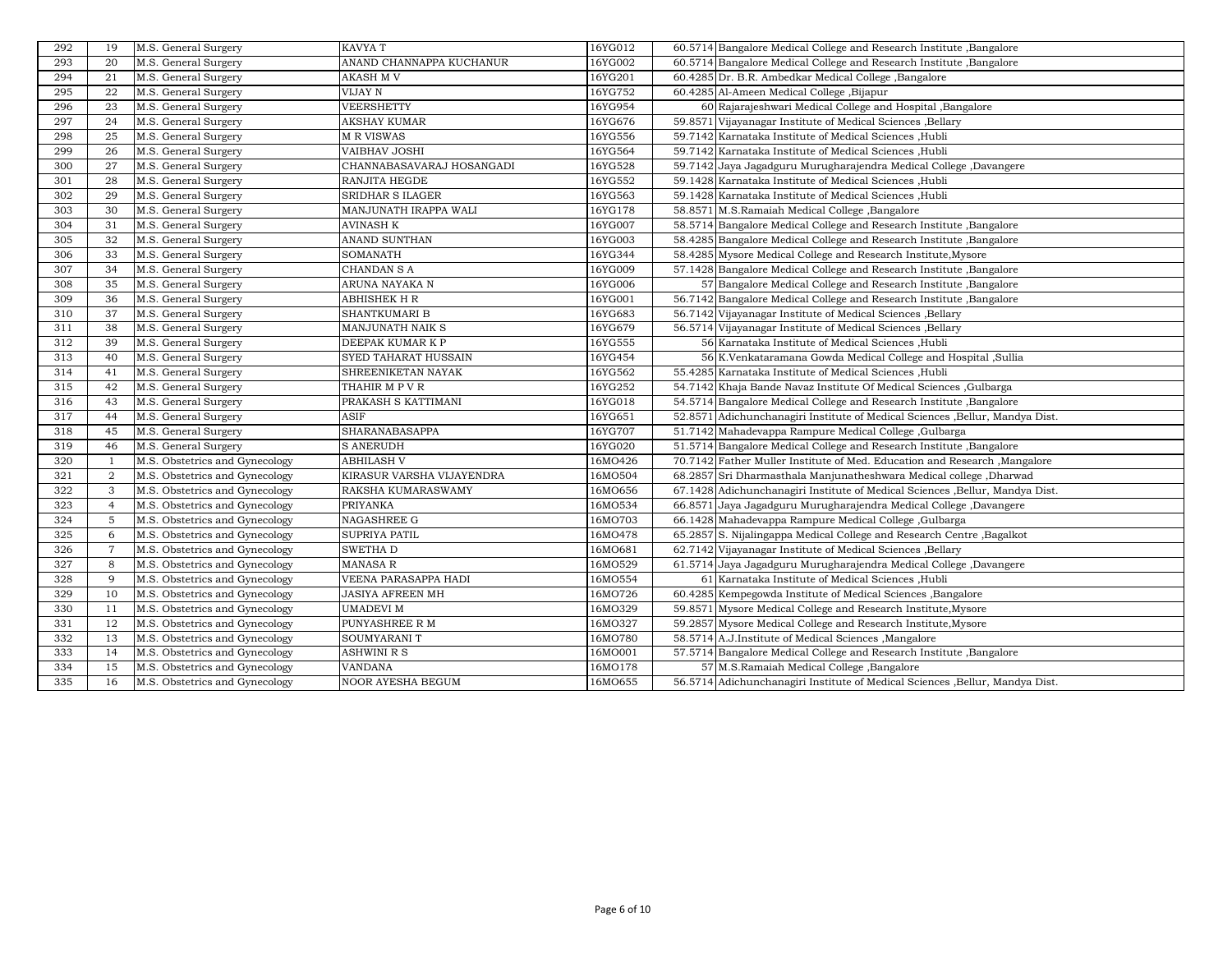| 292 | 19             | M.S. General Surgery           | KAVYA T                   | 16YG012 | 60.5714 Bangalore Medical College and Research Institute , Bangalore          |
|-----|----------------|--------------------------------|---------------------------|---------|-------------------------------------------------------------------------------|
| 293 | 20             | M.S. General Surgery           | ANAND CHANNAPPA KUCHANUR  | 16YG002 | 60.5714 Bangalore Medical College and Research Institute , Bangalore          |
| 294 | 21             | M.S. General Surgery           | AKASH M V                 | 16YG201 | 60.4285 Dr. B.R. Ambedkar Medical College, Bangalore                          |
| 295 | 22             | M.S. General Surgery           | VIJAY N                   | 16YG752 | 60.4285 Al-Ameen Medical College, Bijapur                                     |
| 296 | 23             | M.S. General Surgery           | <b>VEERSHETTY</b>         | 16YG954 | 60 Rajarajeshwari Medical College and Hospital , Bangalore                    |
| 297 | 24             | M.S. General Surgery           | AKSHAY KUMAR              | 16YG676 | 59.8571 Vijayanagar Institute of Medical Sciences , Bellary                   |
| 298 | 25             | M.S. General Surgery           | M R VISWAS                | 16YG556 | 59.7142 Karnataka Institute of Medical Sciences , Hubli                       |
| 299 | 26             | M.S. General Surgery           | VAIBHAV JOSHI             | 16YG564 | 59.7142 Karnataka Institute of Medical Sciences ,Hubli                        |
| 300 | 27             | M.S. General Surgery           | CHANNABASAVARAJ HOSANGADI | 16YG528 | 59.7142 Jaya Jagadguru Murugharajendra Medical College, Davangere             |
| 301 | 28             | M.S. General Surgery           | RANJITA HEGDE             | 16YG552 | 59.1428 Karnataka Institute of Medical Sciences , Hubli                       |
| 302 | 29             | M.S. General Surgery           | <b>SRIDHAR S ILAGER</b>   | 16YG563 | 59.1428 Karnataka Institute of Medical Sciences ,Hubli                        |
| 303 | 30             | M.S. General Surgery           | MANJUNATH IRAPPA WALI     | 16YG178 | 58.8571 M.S.Ramaiah Medical College, Bangalore                                |
| 304 | 31             | M.S. General Surgery           | AVINASH K                 | 16YG007 | 58.5714 Bangalore Medical College and Research Institute Bangalore            |
| 305 | 32             | M.S. General Surgery           | ANAND SUNTHAN             | 16YG003 | 58.4285 Bangalore Medical College and Research Institute , Bangalore          |
| 306 | 33             | M.S. General Surgery           | <b>SOMANATH</b>           | 16YG344 | 58.4285 Mysore Medical College and Research Institute, Mysore                 |
| 307 | 34             | M.S. General Surgery           | CHANDAN S A               | 16YG009 | 57.1428 Bangalore Medical College and Research Institute , Bangalore          |
| 308 | 35             | M.S. General Surgery           | ARUNA NAYAKA N            | 16YG006 | 57 Bangalore Medical College and Research Institute, Bangalore                |
| 309 | 36             | M.S. General Surgery           | ABHISHEK H R              | 16YG001 | 56.7142 Bangalore Medical College and Research Institute, Bangalore           |
| 310 | 37             | M.S. General Surgery           | SHANTKUMARI B             | 16YG683 | 56.7142 Vijayanagar Institute of Medical Sciences , Bellary                   |
| 311 | 38             | M.S. General Surgery           | MANJUNATH NAIK S          | 16YG679 | 56.5714 Vijayanagar Institute of Medical Sciences , Bellary                   |
| 312 | 39             | M.S. General Surgery           | DEEPAK KUMAR K P          | 16YG555 | 56 Karnataka Institute of Medical Sciences ,Hubli                             |
| 313 | 40             | M.S. General Surgery           | SYED TAHARAT HUSSAIN      | 16YG454 | 56 K.Venkataramana Gowda Medical College and Hospital ,Sullia                 |
| 314 | 41             | M.S. General Surgery           | SHREENIKETAN NAYAK        | 16YG562 | 55.4285 Karnataka Institute of Medical Sciences , Hubli                       |
| 315 | 42             | M.S. General Surgery           | THAHIR M P V R            | 16YG252 | 54.7142 Khaja Bande Navaz Institute Of Medical Sciences , Gulbarga            |
| 316 | 43             | M.S. General Surgery           | PRAKASH S KATTIMANI       | 16YG018 | 54.5714 Bangalore Medical College and Research Institute, Bangalore           |
| 317 | 44             | M.S. General Surgery           | ASIF                      | 16YG651 | 52.8571 Adichunchanagiri Institute of Medical Sciences , Bellur, Mandya Dist. |
| 318 | 45             | M.S. General Surgery           | <b>SHARANABASAPPA</b>     | 16YG707 | 51.7142 Mahadevappa Rampure Medical College, Gulbarga                         |
| 319 | 46             | M.S. General Surgery           | <b>S ANERUDH</b>          | 16YG020 | 51.5714 Bangalore Medical College and Research Institute , Bangalore          |
| 320 | $\overline{1}$ | M.S. Obstetrics and Gynecology | <b>ABHILASH V</b>         | 16MO426 | 70.7142 Father Muller Institute of Med. Education and Research , Mangalore    |
| 321 | $\overline{2}$ | M.S. Obstetrics and Gynecology | KIRASUR VARSHA VIJAYENDRA | 16MO504 | 68.2857 Sri Dharmasthala Manjunatheshwara Medical college, Dharwad            |
| 322 | 3              | M.S. Obstetrics and Gynecology | RAKSHA KUMARASWAMY        | 16MO656 | 67.1428 Adichunchanagiri Institute of Medical Sciences , Bellur, Mandya Dist. |
| 323 | $\overline{4}$ | M.S. Obstetrics and Gynecology | PRIYANKA                  | 16MO534 | 66.8571 Jaya Jagadguru Murugharajendra Medical College, Davangere             |
| 324 | 5              | M.S. Obstetrics and Gynecology | <b>NAGASHREE G</b>        | 16MO703 | 66.1428 Mahadevappa Rampure Medical College, Gulbarga                         |
| 325 | 6              | M.S. Obstetrics and Gynecology | <b>SUPRIYA PATIL</b>      | 16MO478 | 65.2857 S. Nijalingappa Medical College and Research Centre, Bagalkot         |
| 326 | $\overline{7}$ | M.S. Obstetrics and Gynecology | SWETHA D                  | 16MO681 | 62.7142 Vijayanagar Institute of Medical Sciences , Bellary                   |
| 327 | 8              | M.S. Obstetrics and Gynecology | <b>MANASA R</b>           | 16MO529 | 61.5714 Jaya Jagadguru Murugharajendra Medical College, Davangere             |
| 328 | 9              | M.S. Obstetrics and Gynecology | VEENA PARASAPPA HADI      | 16MO554 | 61 Karnataka Institute of Medical Sciences , Hubli                            |
| 329 | 10             | M.S. Obstetrics and Gynecology | JASIYA AFREEN MH          | 16MO726 | 60.4285 Kempegowda Institute of Medical Sciences, Bangalore                   |
| 330 | 11             | M.S. Obstetrics and Gynecology | UMADEVI M                 | 16MO329 | 59.8571 Mysore Medical College and Research Institute, Mysore                 |
| 331 | 12             | M.S. Obstetrics and Gynecology | PUNYASHREE R M            | 16MO327 | 59.2857 Mysore Medical College and Research Institute, Mysore                 |
| 332 | 13             | M.S. Obstetrics and Gynecology | SOUMYARANI T              | 16MO780 | 58.5714 A.J.Institute of Medical Sciences , Mangalore                         |
| 333 | 14             | M.S. Obstetrics and Gynecology | <b>ASHWINI R S</b>        | 16MO001 | 57.5714 Bangalore Medical College and Research Institute, Bangalore           |
| 334 | 15             | M.S. Obstetrics and Gynecology | <b>VANDANA</b>            | 16MO178 | 57 M.S.Ramaiah Medical College, Bangalore                                     |
| 335 | 16             | M.S. Obstetrics and Gynecology | <b>NOOR AYESHA BEGUM</b>  | 16MO655 | 56.5714 Adichunchanagiri Institute of Medical Sciences , Bellur, Mandya Dist. |
|     |                |                                |                           |         |                                                                               |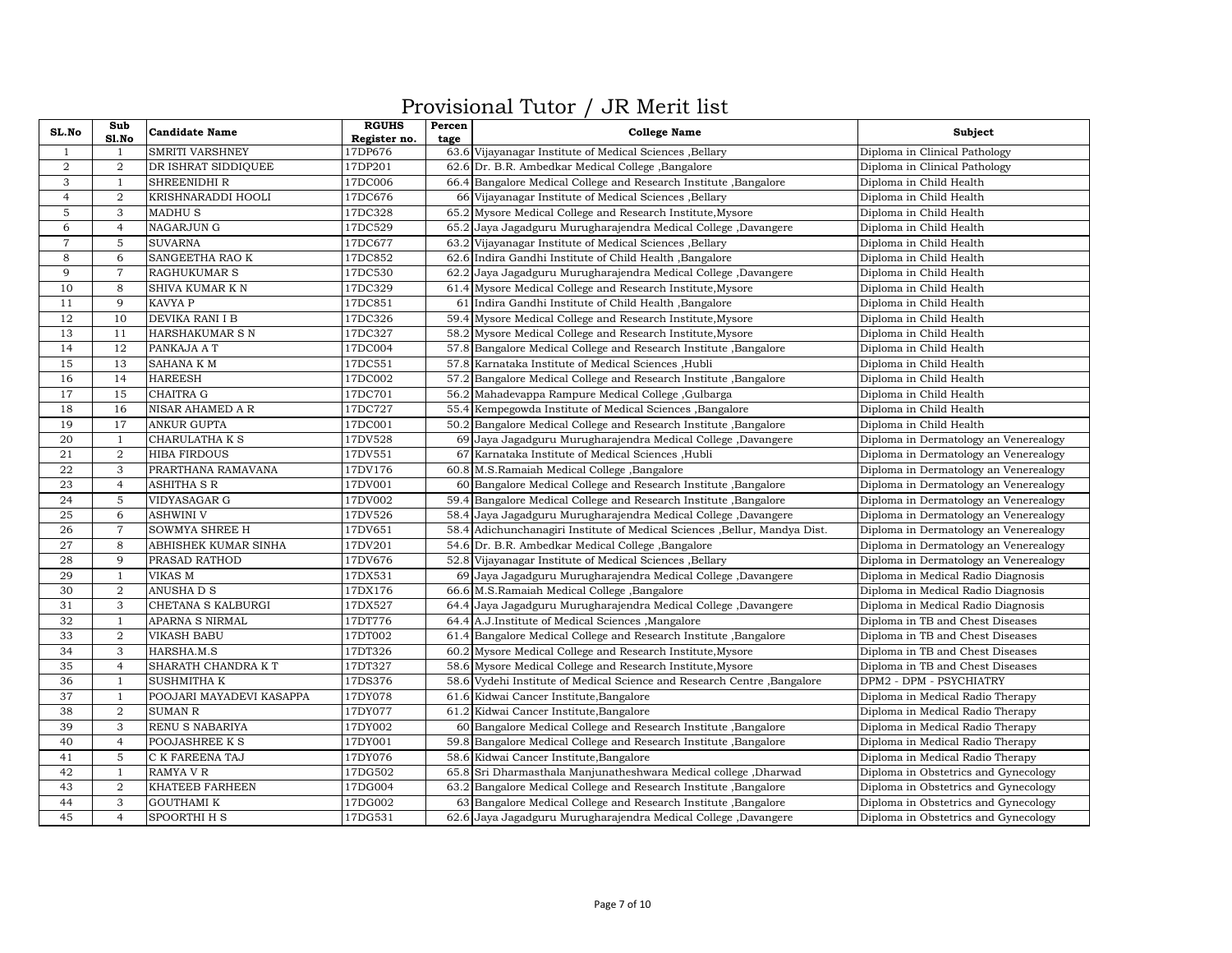## Provisional Tutor / JR Merit list

| SL.No          | Sub            | <b>Candidate Name</b>    | <b>RGUHS</b> | Percen | <b>College Name</b>                                                        | Subject                               |
|----------------|----------------|--------------------------|--------------|--------|----------------------------------------------------------------------------|---------------------------------------|
|                | Sl.No          |                          | Register no. | tage   |                                                                            |                                       |
| $\mathbf{1}$   | -1.            | <b>SMRITI VARSHNEY</b>   | 17DP676      |        | 63.6 Vijayanagar Institute of Medical Sciences , Bellary                   | Diploma in Clinical Pathology         |
| $\overline{2}$ | $\overline{2}$ | DR ISHRAT SIDDIQUEE      | 17DP201      |        | 62.6 Dr. B.R. Ambedkar Medical College, Bangalore                          | Diploma in Clinical Pathology         |
| 3              | $\mathbf{1}$   | SHREENIDHI R             | 17DC006      |        | 66.4 Bangalore Medical College and Research Institute , Bangalore          | Diploma in Child Health               |
| $\overline{4}$ | $\overline{2}$ | KRISHNARADDI HOOLI       | 17DC676      |        | 66 Vijayanagar Institute of Medical Sciences , Bellary                     | Diploma in Child Health               |
| 5              | 3              | <b>MADHUS</b>            | 17DC328      |        | 65.2 Mysore Medical College and Research Institute, Mysore                 | Diploma in Child Health               |
| 6              | $\overline{4}$ | <b>NAGARJUN G</b>        | 17DC529      |        | 65.2 Jaya Jagadguru Murugharajendra Medical College, Davangere             | Diploma in Child Health               |
| $\overline{7}$ | 5              | <b>SUVARNA</b>           | 17DC677      | 63.2   | Vijayanagar Institute of Medical Sciences , Bellary                        | Diploma in Child Health               |
| $\overline{8}$ | 6              | SANGEETHA RAO K          | 17DC852      |        | 62.6 Indira Gandhi Institute of Child Health, Bangalore                    | Diploma in Child Health               |
| 9              | $\overline{7}$ | <b>RAGHUKUMAR S</b>      | 17DC530      | 62.2   | Jaya Jagadguru Murugharajendra Medical College, Davangere                  | Diploma in Child Health               |
| 10             | 8              | SHIVA KUMAR K N          | 17DC329      |        | 61.4 Mysore Medical College and Research Institute, Mysore                 | Diploma in Child Health               |
| 11             | 9              | KAVYA P                  | 17DC851      |        | 61 Indira Gandhi Institute of Child Health , Bangalore                     | Diploma in Child Health               |
| 12             | 10             | DEVIKA RANI I B          | 17DC326      |        | 59.4 Mysore Medical College and Research Institute, Mysore                 | Diploma in Child Health               |
| 13             | 11             | HARSHAKUMAR S N          | 17DC327      |        | 58.2 Mysore Medical College and Research Institute, Mysore                 | Diploma in Child Health               |
| 14             | 12             | PANKAJA A T              | 17DC004      |        | 57.8 Bangalore Medical College and Research Institute , Bangalore          | Diploma in Child Health               |
| 15             | 13             | SAHANA K M               | 17DC551      |        | 57.8 Karnataka Institute of Medical Sciences , Hubli                       | Diploma in Child Health               |
| 16             | 14             | <b>HAREESH</b>           | 17DC002      |        | 57.2 Bangalore Medical College and Research Institute , Bangalore          | Diploma in Child Health               |
| 17             | 15             | <b>CHAITRA G</b>         | 17DC701      |        | 56.2 Mahadevappa Rampure Medical College, Gulbarga                         | Diploma in Child Health               |
| 18             | 16             | NISAR AHAMED A R         | 17DC727      |        | 55.4 Kempegowda Institute of Medical Sciences , Bangalore                  | Diploma in Child Health               |
| 19             | 17             | <b>ANKUR GUPTA</b>       | 17DC001      |        | 50.2 Bangalore Medical College and Research Institute, Bangalore           | Diploma in Child Health               |
| 20             | $\mathbf{1}$   | CHARULATHA K S           | 17DV528      |        | 69 Jaya Jagadguru Murugharajendra Medical College, Davangere               | Diploma in Dermatology an Venerealogy |
| 21             | $\overline{a}$ | <b>HIBA FIRDOUS</b>      | 17DV551      |        | 67 Karnataka Institute of Medical Sciences , Hubli                         | Diploma in Dermatology an Venerealogy |
| 22             | 3              | PRARTHANA RAMAVANA       | 17DV176      |        | 60.8 M.S.Ramaiah Medical College, Bangalore                                | Diploma in Dermatology an Venerealogy |
| 23             | $\overline{4}$ | <b>ASHITHA S R</b>       | 17DV001      |        | 60 Bangalore Medical College and Research Institute, Bangalore             | Diploma in Dermatology an Venerealogy |
| 24             | 5              | VIDYASAGAR G             | 17DV002      |        | 59.4 Bangalore Medical College and Research Institute, Bangalore           | Diploma in Dermatology an Venerealogy |
| 25             | 6              | <b>ASHWINI V</b>         | 17DV526      | 58.4   | Jaya Jagadguru Murugharajendra Medical College, Davangere                  | Diploma in Dermatology an Venerealogy |
| 26             | $\overline{7}$ | SOWMYA SHREE H           | 17DV651      |        | 58.4 Adichunchanagiri Institute of Medical Sciences , Bellur, Mandya Dist. | Diploma in Dermatology an Venerealogy |
| 27             | 8              | ABHISHEK KUMAR SINHA     | 17DV201      |        | 54.6 Dr. B.R. Ambedkar Medical College, Bangalore                          | Diploma in Dermatology an Venerealogy |
| 28             | 9              | PRASAD RATHOD            | 17DV676      |        | 52.8 Vijayanagar Institute of Medical Sciences , Bellary                   | Diploma in Dermatology an Venerealogy |
| 29             | $\mathbf{1}$   | VIKAS M                  | 17DX531      |        | 69 Jaya Jagadguru Murugharajendra Medical College, Davangere               | Diploma in Medical Radio Diagnosis    |
| 30             | $\overline{a}$ | ANUSHA D S               | 17DX176      |        | 66.6 M.S.Ramaiah Medical College, Bangalore                                | Diploma in Medical Radio Diagnosis    |
| 31             | 3              | CHETANA S KALBURGI       | 17DX527      |        | 64.4 Jaya Jagadguru Murugharajendra Medical College, Davangere             | Diploma in Medical Radio Diagnosis    |
| 32             | $\mathbf{1}$   | APARNA S NIRMAL          | 17DT776      |        | 64.4 A.J.Institute of Medical Sciences , Mangalore                         | Diploma in TB and Chest Diseases      |
| 33             | $\overline{2}$ | <b>VIKASH BABU</b>       | 17DT002      |        | 61.4 Bangalore Medical College and Research Institute, Bangalore           | Diploma in TB and Chest Diseases      |
| 34             | 3              | HARSHA.M.S               | 17DT326      |        | 60.2 Mysore Medical College and Research Institute, Mysore                 | Diploma in TB and Chest Diseases      |
| 35             | $\overline{4}$ | SHARATH CHANDRA KT       | 17DT327      |        | 58.6 Mysore Medical College and Research Institute, Mysore                 | Diploma in TB and Chest Diseases      |
| 36             | 1              | <b>SUSHMITHA K</b>       | 17DS376      |        | 58.6 Vydehi Institute of Medical Science and Research Centre, Bangalore    | DPM2 - DPM - PSYCHIATRY               |
| 37             | $\mathbf{1}$   | POOJARI MAYADEVI KASAPPA | 17DY078      |        | 61.6 Kidwai Cancer Institute, Bangalore                                    | Diploma in Medical Radio Therapy      |
| 38             | $\overline{2}$ | <b>SUMAN R</b>           | 17DY077      |        | 61.2 Kidwai Cancer Institute, Bangalore                                    | Diploma in Medical Radio Therapy      |
| 39             | 3              | RENU S NABARIYA          | 17DY002      |        | 60 Bangalore Medical College and Research Institute, Bangalore             | Diploma in Medical Radio Therapy      |
| 40             | $\overline{4}$ | POOJASHREE K S           | 17DY001      |        | 59.8 Bangalore Medical College and Research Institute, Bangalore           | Diploma in Medical Radio Therapy      |
| 41             | 5              | C K FAREENA TAJ          | 17DY076      |        | 58.6 Kidwai Cancer Institute, Bangalore                                    | Diploma in Medical Radio Therapy      |
| 42             | $\mathbf{1}$   | <b>RAMYA V R</b>         | 17DG502      |        | 65.8 Sri Dharmasthala Manjunatheshwara Medical college, Dharwad            | Diploma in Obstetrics and Gynecology  |
| 43             | $\overline{a}$ | KHATEEB FARHEEN          | 17DG004      |        | 63.2 Bangalore Medical College and Research Institute, Bangalore           | Diploma in Obstetrics and Gynecology  |
| 44             | 3              | <b>GOUTHAMI K</b>        | 17DG002      |        | 63 Bangalore Medical College and Research Institute, Bangalore             | Diploma in Obstetrics and Gynecology  |
| 45             | $\overline{4}$ | SPOORTHI H S             | 17DG531      |        | 62.6 Jaya Jagadguru Murugharajendra Medical College, Davangere             | Diploma in Obstetrics and Gynecology  |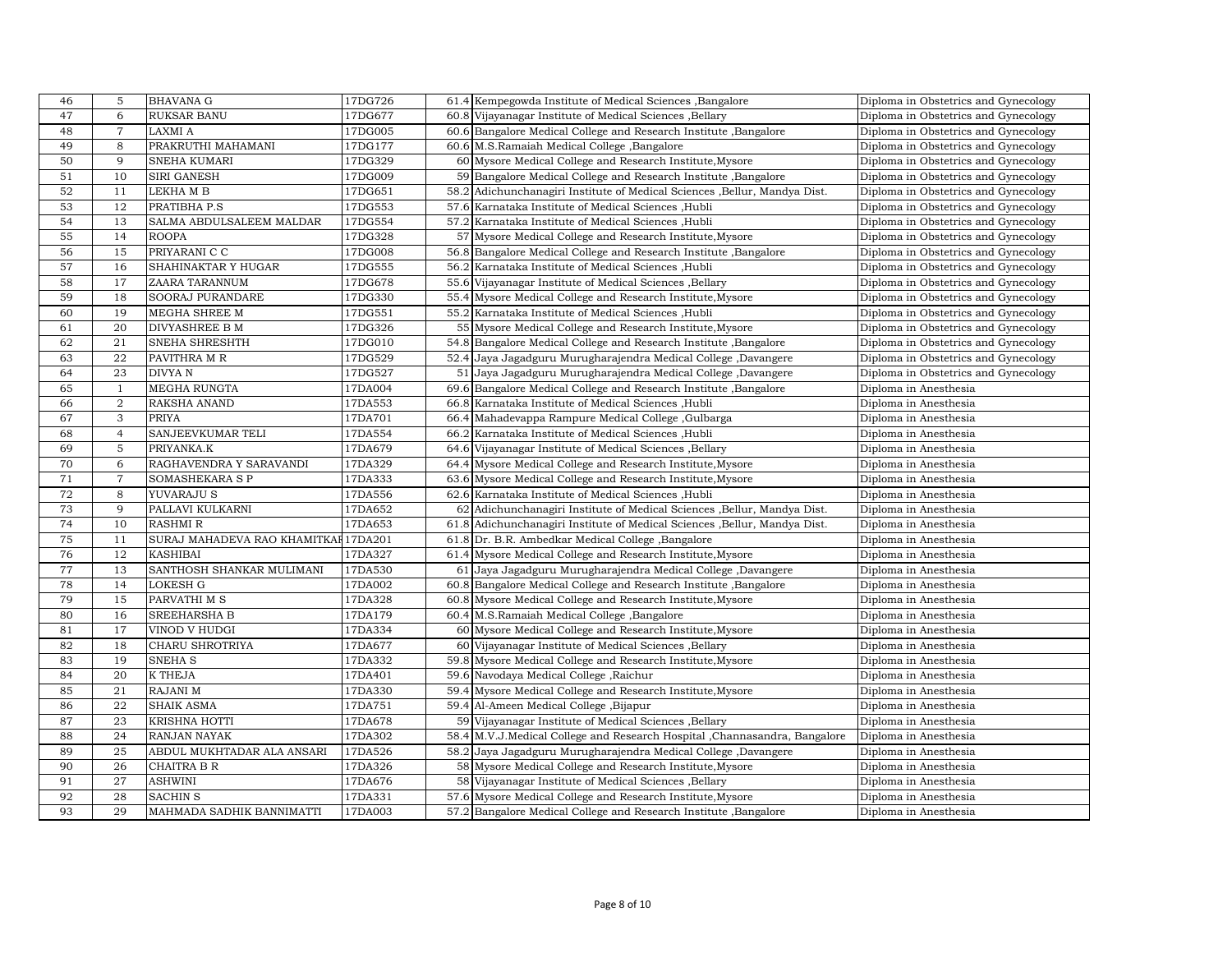| 46 | 5              | <b>BHAVANA G</b>                     | 17DG726 |      | 61.4 Kempegowda Institute of Medical Sciences , Bangalore                  | Diploma in Obstetrics and Gynecology |
|----|----------------|--------------------------------------|---------|------|----------------------------------------------------------------------------|--------------------------------------|
| 47 | 6              | <b>RUKSAR BANU</b>                   | 17DG677 |      | 60.8 Vijayanagar Institute of Medical Sciences , Bellary                   | Diploma in Obstetrics and Gynecology |
| 48 | $\overline{7}$ | LAXMI A                              | 17DG005 |      | 60.6 Bangalore Medical College and Research Institute, Bangalore           | Diploma in Obstetrics and Gynecology |
| 49 | 8              | PRAKRUTHI MAHAMANI                   | 17DG177 |      | 60.6 M.S.Ramaiah Medical College ,Bangalore                                | Diploma in Obstetrics and Gynecology |
| 50 | 9              | SNEHA KUMARI                         | 17DG329 |      | 60 Mysore Medical College and Research Institute, Mysore                   | Diploma in Obstetrics and Gynecology |
| 51 | 10             | SIRI GANESH                          | 17DG009 |      | 59 Bangalore Medical College and Research Institute, Bangalore             | Diploma in Obstetrics and Gynecology |
| 52 | 11             | LEKHA M B                            | 17DG651 |      | 58.2 Adichunchanagiri Institute of Medical Sciences , Bellur, Mandya Dist. | Diploma in Obstetrics and Gynecology |
| 53 | 12             | PRATIBHA P.S                         | 17DG553 |      | 57.6 Karnataka Institute of Medical Sciences , Hubli                       | Diploma in Obstetrics and Gynecology |
| 54 | 13             | SALMA ABDULSALEEM MALDAR             | 17DG554 |      | 57.2 Karnataka Institute of Medical Sciences , Hubli                       | Diploma in Obstetrics and Gynecology |
| 55 | 14             | <b>ROOPA</b>                         | 17DG328 |      | 57 Mysore Medical College and Research Institute, Mysore                   | Diploma in Obstetrics and Gynecology |
| 56 | 15             | PRIYARANI C C                        | 17DG008 |      | 56.8 Bangalore Medical College and Research Institute , Bangalore          | Diploma in Obstetrics and Gynecology |
| 57 | 16             | SHAHINAKTAR Y HUGAR                  | 17DG555 |      | 56.2 Karnataka Institute of Medical Sciences , Hubli                       | Diploma in Obstetrics and Gynecology |
| 58 | 17             | ZAARA TARANNUM                       | 17DG678 |      | 55.6 Vijayanagar Institute of Medical Sciences , Bellary                   | Diploma in Obstetrics and Gynecology |
| 59 | 18             | SOORAJ PURANDARE                     | 17DG330 |      | 55.4 Mysore Medical College and Research Institute, Mysore                 | Diploma in Obstetrics and Gynecology |
| 60 | 19             | MEGHA SHREE M                        | 17DG551 |      | 55.2 Karnataka Institute of Medical Sciences , Hubli                       | Diploma in Obstetrics and Gynecology |
| 61 | 20             | <b>DIVYASHREE B M</b>                | 17DG326 |      | 55 Mysore Medical College and Research Institute, Mysore                   | Diploma in Obstetrics and Gynecology |
| 62 | 21             | SNEHA SHRESHTH                       | 17DG010 |      | 54.8 Bangalore Medical College and Research Institute, Bangalore           | Diploma in Obstetrics and Gynecology |
| 63 | 22             | PAVITHRA M R                         | 17DG529 |      | 52.4 Jaya Jagadguru Murugharajendra Medical College, Davangere             | Diploma in Obstetrics and Gynecology |
| 64 | 23             | <b>DIVYAN</b>                        | 17DG527 |      | 51 Jaya Jagadguru Murugharajendra Medical College, Davangere               | Diploma in Obstetrics and Gynecology |
| 65 | $\mathbf{1}$   | <b>MEGHA RUNGTA</b>                  | 17DA004 |      | 69.6 Bangalore Medical College and Research Institute, Bangalore           | Diploma in Anesthesia                |
| 66 | $\overline{2}$ | RAKSHA ANAND                         | 17DA553 |      | 66.8 Karnataka Institute of Medical Sciences , Hubli                       | Diploma in Anesthesia                |
| 67 | 3              | <b>PRIYA</b>                         | 17DA701 |      | 66.4 Mahadevappa Rampure Medical College, Gulbarga                         | Diploma in Anesthesia                |
| 68 | $\overline{4}$ | SANJEEVKUMAR TELI                    | 17DA554 |      | 66.2 Karnataka Institute of Medical Sciences , Hubli                       | Diploma in Anesthesia                |
| 69 | 5              | PRIYANKA.K                           | 17DA679 |      | 64.6 Vijayanagar Institute of Medical Sciences , Bellary                   | Diploma in Anesthesia                |
| 70 | 6              | RAGHAVENDRA Y SARAVANDI              | 17DA329 |      | 64.4 Mysore Medical College and Research Institute, Mysore                 | Diploma in Anesthesia                |
| 71 | $\overline{7}$ | SOMASHEKARA S P                      | 17DA333 |      | 63.6 Mysore Medical College and Research Institute, Mysore                 | Diploma in Anesthesia                |
| 72 | 8              | YUVARAJU S                           | 17DA556 |      | 62.6 Karnataka Institute of Medical Sciences, Hubli                        | Diploma in Anesthesia                |
| 73 | 9              | PALLAVI KULKARNI                     | 17DA652 |      | 62 Adichunchanagiri Institute of Medical Sciences , Bellur, Mandya Dist.   | Diploma in Anesthesia                |
| 74 | 10             | <b>RASHMI R</b>                      | 17DA653 |      | 61.8 Adichunchanagiri Institute of Medical Sciences , Bellur, Mandya Dist. | Diploma in Anesthesia                |
| 75 | 11             | SURAJ MAHADEVA RAO KHAMITKAI 17DA201 |         |      | 61.8 Dr. B.R. Ambedkar Medical College ,Bangalore                          | Diploma in Anesthesia                |
| 76 | 12             | <b>KASHIBAI</b>                      | 17DA327 |      | 61.4 Mysore Medical College and Research Institute, Mysore                 | Diploma in Anesthesia                |
| 77 | 13             | SANTHOSH SHANKAR MULIMANI            | 17DA530 | 61   | Jaya Jagadguru Murugharajendra Medical College, Davangere                  | Diploma in Anesthesia                |
| 78 | 14             | LOKESH G                             | 17DA002 |      | 60.8 Bangalore Medical College and Research Institute , Bangalore          | Diploma in Anesthesia                |
| 79 | 15             | PARVATHI M S                         | 17DA328 |      | 60.8 Mysore Medical College and Research Institute, Mysore                 | Diploma in Anesthesia                |
| 80 | 16             | <b>SREEHARSHA B</b>                  | 17DA179 |      | 60.4 M.S.Ramaiah Medical College, Bangalore                                | Diploma in Anesthesia                |
| 81 | 17             | VINOD V HUDGI                        | 17DA334 |      | 60 Mysore Medical College and Research Institute, Mysore                   | Diploma in Anesthesia                |
| 82 | 18             | CHARU SHROTRIYA                      | 17DA677 |      | 60 Vijayanagar Institute of Medical Sciences , Bellary                     | Diploma in Anesthesia                |
| 83 | 19             | <b>SNEHA S</b>                       | 17DA332 |      | 59.8 Mysore Medical College and Research Institute, Mysore                 | Diploma in Anesthesia                |
| 84 | 20             | <b>K THEJA</b>                       | 17DA401 |      | 59.6 Navodaya Medical College, Raichur                                     | Diploma in Anesthesia                |
| 85 | 21             | RAJANI M                             | 17DA330 |      | 59.4 Mysore Medical College and Research Institute, Mysore                 | Diploma in Anesthesia                |
| 86 | 22             | <b>SHAIK ASMA</b>                    | 17DA751 |      | 59.4 Al-Ameen Medical College , Bijapur                                    | Diploma in Anesthesia                |
| 87 | 23             | KRISHNA HOTTI                        | 17DA678 |      | 59 Vijayanagar Institute of Medical Sciences , Bellary                     | Diploma in Anesthesia                |
| 88 | 24             | <b>RANJAN NAYAK</b>                  | 17DA302 |      | 58.4 M.V.J.Medical College and Research Hospital , Channasandra, Bangalore | Diploma in Anesthesia                |
| 89 | 25             | ABDUL MUKHTADAR ALA ANSARI           | 17DA526 | 58.2 | Jaya Jagadguru Murugharajendra Medical College, Davangere                  | Diploma in Anesthesia                |
| 90 | 26             | CHAITRA B R                          | 17DA326 |      | 58 Mysore Medical College and Research Institute, Mysore                   | Diploma in Anesthesia                |
| 91 | 27             | <b>ASHWINI</b>                       | 17DA676 |      | 58 Vijayanagar Institute of Medical Sciences , Bellary                     | Diploma in Anesthesia                |
| 92 | 28             | <b>SACHIN S</b>                      | 17DA331 |      | 57.6 Mysore Medical College and Research Institute, Mysore                 | Diploma in Anesthesia                |
| 93 | 29             | MAHMADA SADHIK BANNIMATTI            | 17DA003 |      | 57.2 Bangalore Medical College and Research Institute, Bangalore           | Diploma in Anesthesia                |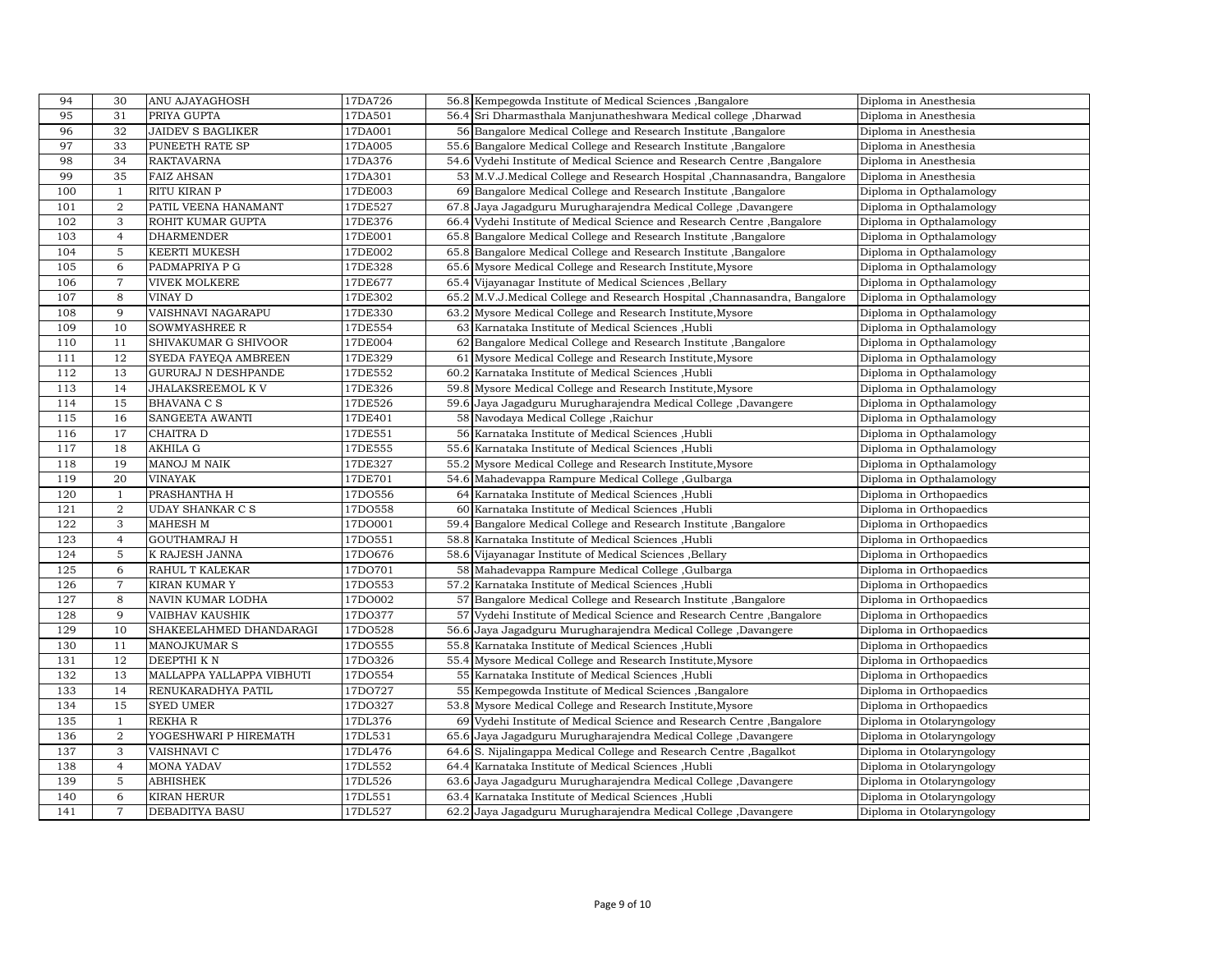| 94  | 30               | ANU AJAYAGHOSH             | 17DA726 | 56.8 Kempegowda Institute of Medical Sciences , Bangalore                  | Diploma in Anesthesia     |
|-----|------------------|----------------------------|---------|----------------------------------------------------------------------------|---------------------------|
| 95  | 31               | PRIYA GUPTA                | 17DA501 | 56.4 Sri Dharmasthala Manjunatheshwara Medical college, Dharwad            | Diploma in Anesthesia     |
| 96  | 32               | <b>JAIDEV S BAGLIKER</b>   | 17DA001 | 56 Bangalore Medical College and Research Institute, Bangalore             | Diploma in Anesthesia     |
| 97  | 33               | PUNEETH RATE SP            | 17DA005 | 55.6 Bangalore Medical College and Research Institute, Bangalore           | Diploma in Anesthesia     |
| 98  | 34               | <b>RAKTAVARNA</b>          | 17DA376 | 54.6 Vydehi Institute of Medical Science and Research Centre, Bangalore    | Diploma in Anesthesia     |
| 99  | 35               | <b>FAIZ AHSAN</b>          | 17DA301 | 53 M.V.J.Medical College and Research Hospital , Channasandra, Bangalore   | Diploma in Anesthesia     |
| 100 | $\mathbf{1}$     | RITU KIRAN P               | 17DE003 | 69 Bangalore Medical College and Research Institute, Bangalore             | Diploma in Opthalamology  |
| 101 | $\boldsymbol{2}$ | PATIL VEENA HANAMANT       | 17DE527 | 67.8 Jaya Jagadguru Murugharajendra Medical College, Davangere             | Diploma in Opthalamology  |
| 102 | 3                | ROHIT KUMAR GUPTA          | 17DE376 | 66.4 Vydehi Institute of Medical Science and Research Centre, Bangalore    | Diploma in Opthalamology  |
| 103 | $\overline{4}$   | <b>DHARMENDER</b>          | 17DE001 | 65.8 Bangalore Medical College and Research Institute , Bangalore          | Diploma in Opthalamology  |
| 104 | 5                | <b>KEERTI MUKESH</b>       | 17DE002 | 65.8 Bangalore Medical College and Research Institute, Bangalore           | Diploma in Opthalamology  |
| 105 | 6                | PADMAPRIYA P G             | 17DE328 | 65.6 Mysore Medical College and Research Institute, Mysore                 | Diploma in Opthalamology  |
| 106 | $\overline{7}$   | <b>VIVEK MOLKERE</b>       | 17DE677 | 65.4 Vijayanagar Institute of Medical Sciences , Bellary                   | Diploma in Opthalamology  |
| 107 | 8                | VINAY D                    | 17DE302 | 65.2 M.V.J.Medical College and Research Hospital , Channasandra, Bangalore | Diploma in Opthalamology  |
| 108 | 9                | VAISHNAVI NAGARAPU         | 17DE330 | 63.2 Mysore Medical College and Research Institute, Mysore                 | Diploma in Opthalamology  |
| 109 | 10               | <b>SOWMYASHREE R</b>       | 17DE554 | 63 Karnataka Institute of Medical Sciences , Hubli                         | Diploma in Opthalamology  |
| 110 | 11               | SHIVAKUMAR G SHIVOOR       | 17DE004 | 62 Bangalore Medical College and Research Institute, Bangalore             | Diploma in Opthalamology  |
| 111 | 12               | SYEDA FAYEQA AMBREEN       | 17DE329 | 61 Mysore Medical College and Research Institute, Mysore                   | Diploma in Opthalamology  |
| 112 | 13               | <b>GURURAJ N DESHPANDE</b> | 17DE552 | 60.2 Karnataka Institute of Medical Sciences , Hubli                       | Diploma in Opthalamology  |
| 113 | 14               | JHALAKSREEMOL K V          | 17DE326 | 59.8 Mysore Medical College and Research Institute, Mysore                 | Diploma in Opthalamology  |
| 114 | 15               | <b>BHAVANA C S</b>         | 17DE526 | 59.6 Jaya Jagadguru Murugharajendra Medical College, Davangere             | Diploma in Opthalamology  |
| 115 | 16               | <b>SANGEETA AWANTI</b>     | 17DE401 | 58 Navodaya Medical College, Raichur                                       | Diploma in Opthalamology  |
| 116 | 17               | <b>CHAITRA D</b>           | 17DE551 | 56 Karnataka Institute of Medical Sciences , Hubli                         | Diploma in Opthalamology  |
| 117 | 18               | <b>AKHILA G</b>            | 17DE555 | 55.6 Karnataka Institute of Medical Sciences , Hubli                       | Diploma in Opthalamology  |
| 118 | 19               | MANOJ M NAIK               | 17DE327 | 55.2 Mysore Medical College and Research Institute, Mysore                 | Diploma in Opthalamology  |
| 119 | 20               | <b>VINAYAK</b>             | 17DE701 | 54.6 Mahadevappa Rampure Medical College, Gulbarga                         | Diploma in Opthalamology  |
| 120 | 1                | PRASHANTHA H               | 17D0556 | 64 Karnataka Institute of Medical Sciences, Hubli                          | Diploma in Orthopaedics   |
| 121 | $\overline{a}$   | <b>UDAY SHANKAR C S</b>    | 17DO558 | 60 Karnataka Institute of Medical Sciences , Hubli                         | Diploma in Orthopaedics   |
| 122 | 3                | <b>MAHESH M</b>            | 17D0001 | 59.4 Bangalore Medical College and Research Institute, Bangalore           | Diploma in Orthopaedics   |
| 123 | $\overline{4}$   | <b>GOUTHAMRAJ H</b>        | 17D0551 | 58.8 Karnataka Institute of Medical Sciences , Hubli                       | Diploma in Orthopaedics   |
| 124 | $\overline{5}$   | K RAJESH JANNA             | 17D0676 | 58.6 Vijayanagar Institute of Medical Sciences , Bellary                   | Diploma in Orthopaedics   |
| 125 | 6                | RAHUL T KALEKAR            | 17DO701 | 58 Mahadevappa Rampure Medical College, Gulbarga                           | Diploma in Orthopaedics   |
| 126 | $\overline{7}$   | <b>KIRAN KUMAR Y</b>       | 17DO553 | 57.2 Karnataka Institute of Medical Sciences , Hubli                       | Diploma in Orthopaedics   |
| 127 | 8                | NAVIN KUMAR LODHA          | 17DO002 | 57 Bangalore Medical College and Research Institute, Bangalore             | Diploma in Orthopaedics   |
| 128 | 9                | <b>VAIBHAV KAUSHIK</b>     | 17DO377 | 57 Vydehi Institute of Medical Science and Research Centre, Bangalore      | Diploma in Orthopaedics   |
| 129 | 10               | SHAKEELAHMED DHANDARAGI    | 17DO528 | 56.6 Jaya Jagadguru Murugharajendra Medical College, Davangere             | Diploma in Orthopaedics   |
| 130 | 11               | <b>MANOJKUMAR S</b>        | 17D0555 | 55.8 Karnataka Institute of Medical Sciences , Hubli                       | Diploma in Orthopaedics   |
| 131 | 12               | DEEPTHI KN                 | 17DO326 | 55.4 Mysore Medical College and Research Institute, Mysore                 | Diploma in Orthopaedics   |
| 132 | 13               | MALLAPPA YALLAPPA VIBHUTI  | 17DO554 | 55 Karnataka Institute of Medical Sciences , Hubli                         | Diploma in Orthopaedics   |
| 133 | 14               | RENUKARADHYA PATIL         | 17D0727 | 55 Kempegowda Institute of Medical Sciences, Bangalore                     | Diploma in Orthopaedics   |
| 134 | 15               | <b>SYED UMER</b>           | 17DO327 | 53.8 Mysore Medical College and Research Institute, Mysore                 | Diploma in Orthopaedics   |
| 135 | $\mathbf{1}$     | <b>REKHAR</b>              | 17DL376 | 69 Vydehi Institute of Medical Science and Research Centre, Bangalore      | Diploma in Otolaryngology |
| 136 | $\overline{2}$   | YOGESHWARI P HIREMATH      | 17DL531 | 65.6 Jaya Jagadguru Murugharajendra Medical College, Davangere             | Diploma in Otolaryngology |
| 137 | 3                | VAISHNAVI C                | 17DL476 | 64.6 S. Nijalingappa Medical College and Research Centre , Bagalkot        | Diploma in Otolaryngology |
| 138 | $\overline{4}$   | <b>MONA YADAV</b>          | 17DL552 | 64.4 Karnataka Institute of Medical Sciences , Hubli                       | Diploma in Otolaryngology |
| 139 | 5                | <b>ABHISHEK</b>            | 17DL526 | 63.6 Jaya Jagadguru Murugharajendra Medical College, Davangere             | Diploma in Otolaryngology |
| 140 | 6                | <b>KIRAN HERUR</b>         | 17DL551 | 63.4 Karnataka Institute of Medical Sciences , Hubli                       | Diploma in Otolaryngology |
| 141 | $\overline{7}$   | <b>DEBADITYA BASU</b>      | 17DL527 | 62.2 Jaya Jagadguru Murugharajendra Medical College, Davangere             | Diploma in Otolaryngology |